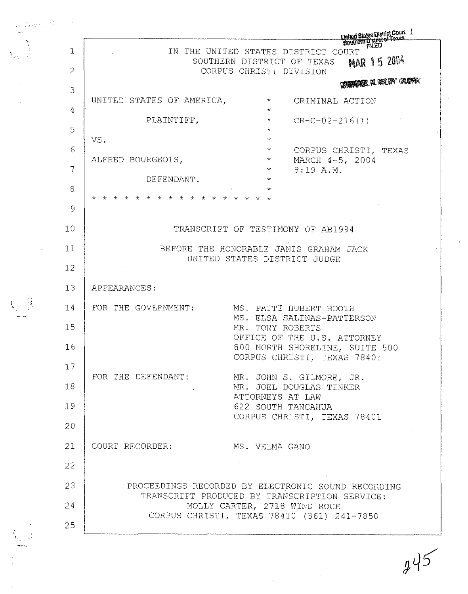$\begin{array}{ccc} \ddots & \ddots & \ddots \end{array}$  $\mathcal{L}$ 3 4 5 6 7 8 9 10 11 12 13  $\frac{3}{2}$  14 15 16 17 18 19 20 21 22 23 24 25  $\begin{array}{lllllllllll} \textbf{Unlist of Cost} & \textbf{Inlist of Cost} & \textbf{Inlist of Cost} & \textbf{Inlist of Cost} \\ \hline \textbf{E} & \textbf{E} & \textbf{E} & \textbf{E} & \textbf{E} & \textbf{E} \\ \textbf{E} & \textbf{E} & \textbf{E} & \textbf{E} & \textbf{E} & \textbf{E} \\ \textbf{E} & \textbf{E} & \textbf{E} & \textbf{E} & \textbf{E} & \textbf{E} \\ \textbf{E} & \textbf{E} & \textbf{E} & \textbf{E} & \textbf{E} & \textbf{E$ SOUTHERN DISTRICT OF TEXAS CORPUS CHRISTI DIVISION UNITED STATES OF AMERICA,  $*$ \* \iiliildlil~··m' ~ CRIMINAL ACTION PLAINTIFF, VS. \* \* \* CR-C-02-216(1) ALFRED BOURGEOIS, \* \* CORPUS CHRISTI, TEXAS MARCH 4-5, 2004 8:19 A.M. DEFENDANT. \* \* \* \* \* \* \* \* \* \* \* \* \* \* \* \* \* \* APPEARANCES: TRANSCRIPT OF TESTIMONY OF AB1994 BEFORE THE HONORABLE JANIS GRAHAM JACK UNITED STATES DISTRICT JUDGE FOR THE GOVERNMENT: MS. PATTI HUBERT BOOTH FOR THE DEFENDANT: COURT RECORDER: MS. ELSA SALINAS-PATTERSON MR. TONY ROBERTS OFFICE OF THE U.S. ATTORNEY 800 NORTH SHORELINE, SUITE 500 CORPUS CHRISTI, TEXAS 78401 MR. JOHN S. GILMORE, JR. MR. JOEL DOUGLAS TINKER ATTORNEYS AT LAW 622 SOUTH TANCAHUA CORPUS CHRISTI, TEXAS 78401 MS. VELMA GANO PROCEEDINGS RECORDED BY ELECTRONIC SOUND RECORDING TRANSCRIPT PRODUCED BY TRANSCRIPTION SERVICE: MOLLY CARTER, 2718 WIND ROCK CORPUS CHRISTI, TEXAS 78410 (361) 241-7850

..

See 1

 $245$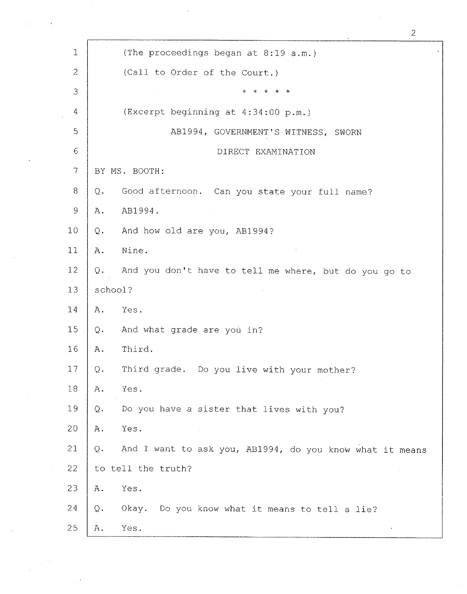| $\mathbf{1}$   | (The proceedings began at 8:19 a.m.)                           |  |
|----------------|----------------------------------------------------------------|--|
| $\overline{2}$ | (Call to Order of the Court.)                                  |  |
| 3              | * * * * *                                                      |  |
| $\overline{4}$ | (Excerpt beginning at 4:34:00 p.m.)                            |  |
| 5              | AB1994, GOVERNMENT'S WITNESS, SWORN                            |  |
| 6              | DIRECT EXAMINATION                                             |  |
| $\overline{7}$ | BY MS. BOOTH:                                                  |  |
| 8              | Good afternoon. Can you state your full name?<br>Q.            |  |
| $\mathsf{9}$   | AB1994.<br>Α.                                                  |  |
| 10             | And how old are you, AB1994?<br>Q.                             |  |
| 11             | Nine.<br>Α.                                                    |  |
| 12             | And you don't have to tell me where, but do you go to<br>Q.    |  |
| 13             | school?                                                        |  |
| 14             | Α.<br>Yes.                                                     |  |
| 15             | And what grade are you in?<br>$Q$ .                            |  |
| 16             | Third.<br>Α.                                                   |  |
| 17             | Third grade. Do you live with your mother?<br>Q.               |  |
| 18             | Yes.<br>Α.                                                     |  |
| 19             | Do you have a sister that lives with you?<br>Q.                |  |
| 20             | Yes.<br>Α.                                                     |  |
| 21             | And I want to ask you, AB1994, do you know what it means<br>Q. |  |
| 22             | to tell the truth?                                             |  |
| 23             | Yes.<br>Α.                                                     |  |
| 24             | Okay. Do you know what it means to tell a lie?<br>Q.           |  |
| 25             | Yes.<br>Α.                                                     |  |

2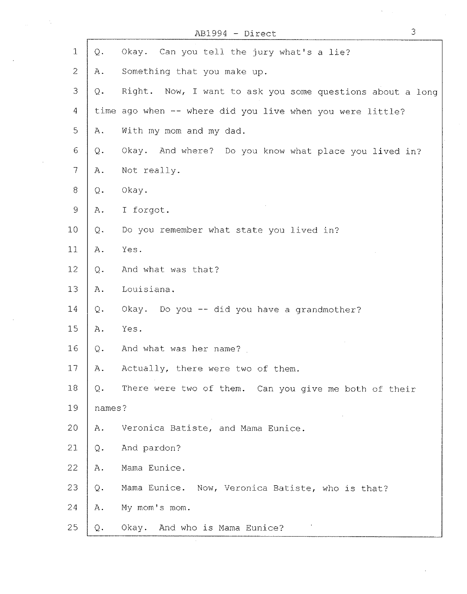|                |                | $AB1994 - Direct$                                         | 3 |
|----------------|----------------|-----------------------------------------------------------|---|
| $\mathbf{1}$   | $Q$ .          | Okay. Can you tell the jury what's a lie?                 |   |
| $\overline{2}$ | Α.             | Something that you make up.                               |   |
| 3              | Q.             | Right. Now, I want to ask you some questions about a long |   |
| 4              |                | time ago when -- where did you live when you were little? |   |
| 5              | Α.             | With my mom and my dad.                                   |   |
| 6              | Q.             | Okay. And where?<br>Do you know what place you lived in?  |   |
| 7              | Α.             | Not really.                                               |   |
| 8              | Q.             | Okay.                                                     |   |
| 9              | Α.             | I forgot.                                                 |   |
| 10             | Q.             | Do you remember what state you lived in?                  |   |
| 11             | Α.             | Yes.                                                      |   |
| 12             | Q.             | And what was that?                                        |   |
| 13             | Α.             | Louisiana.                                                |   |
| 14             | $Q$ .          | Okay. Do you -- did you have a grandmother?               |   |
| 15             | Α.             | Yes.                                                      |   |
| 16             | $Q$ .          | And what was her name?                                    |   |
| $17\,$         | Α.             | Actually, there were two of them.                         |   |
| 18             | Q.             | There were two of them. Can you give me both of their     |   |
| 19             | names?         |                                                           |   |
| 20             | Α.             | Veronica Batiste, and Mama Eunice.                        |   |
| 21             | Q.             | And pardon?                                               |   |
| 22             | Α.             | Mama Eunice.                                              |   |
| 23             | Q.             | Mama Eunice. Now, Veronica Batiste, who is that?          |   |
| 24             | Α.             | My mom's mom.                                             |   |
| 25             | $\mathsf{Q}$ . | Okay. And who is Mama Eunice?                             |   |

 $\label{eq:2.1} \frac{1}{2} \frac{1}{\mu} \left( \frac{1}{\mu} \right) \frac{1}{\mu} \left( \frac{1}{\mu} \right) \frac{1}{\mu} \left( \frac{1}{\mu} \right)$ 

 $\label{eq:2.1} \frac{1}{\sqrt{2}}\int_{\mathbb{R}^3} \frac{1}{\sqrt{2}}\left(\frac{1}{\sqrt{2}}\right)^2\left(\frac{1}{\sqrt{2}}\right)^2\left(\frac{1}{\sqrt{2}}\right)^2\left(\frac{1}{\sqrt{2}}\right)^2.$ 

 $\label{eq:2.1} \frac{1}{\sqrt{2}}\sum_{i=1}^n\frac{1}{\sqrt{2\pi}}\sum_{i=1}^n\frac{1}{\sqrt{2\pi}}\sum_{i=1}^n\frac{1}{\sqrt{2\pi}}\sum_{i=1}^n\frac{1}{\sqrt{2\pi}}\sum_{i=1}^n\frac{1}{\sqrt{2\pi}}\sum_{i=1}^n\frac{1}{\sqrt{2\pi}}\sum_{i=1}^n\frac{1}{\sqrt{2\pi}}\sum_{i=1}^n\frac{1}{\sqrt{2\pi}}\sum_{i=1}^n\frac{1}{\sqrt{2\pi}}\sum_{i=1}^n\frac{$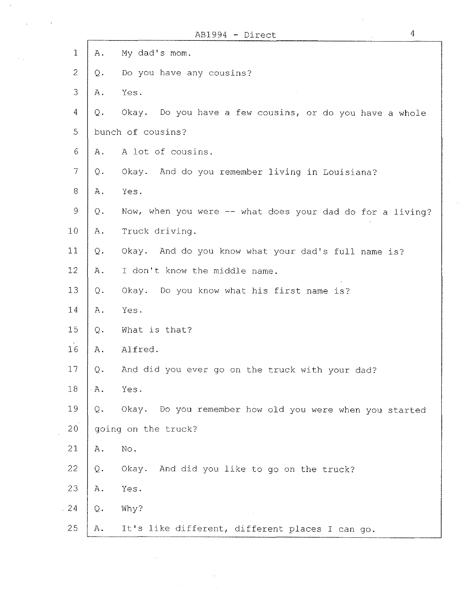|                          |       | $\overline{4}$<br>AB1994 - Direct                          |
|--------------------------|-------|------------------------------------------------------------|
| $\mathbf{1}$             | Α.    | My dad's mom.                                              |
| $\overline{2}$           | Q.    | Do you have any cousins?                                   |
| $\mathfrak{Z}$           | Α.    | Yes.                                                       |
| 4                        | Q.    | Do you have a few cousins, or do you have a whole<br>Okay. |
| 5                        |       | bunch of cousins?                                          |
| 6                        | Α.    | A lot of cousins.                                          |
| $\overline{\mathcal{I}}$ | Q.    | Okay. And do you remember living in Louisiana?             |
| $8\,$                    | $A$ . | Yes.                                                       |
| $\mathcal{G}$            | $Q$ . | Now, when you were -- what does your dad do for a living?  |
| 10                       | $A$ . | Truck driving.                                             |
| 11                       | $Q -$ | Okay. And do you know what your dad's full name is?        |
| 12                       | Α.    | I don't know the middle name.                              |
| 13                       | $Q$ . | Do you know what his first name is?<br>Okay.               |
| 14                       | Α.    | Yes.                                                       |
| 15                       | Q.    | What is that?                                              |
| 16                       | Α.    | Alfred.                                                    |
| $17\,$                   | Q.    | And did you ever go on the truck with your dad?            |
| $18\,$                   | $A$ . | Yes.                                                       |
| 19                       | Q.    | Do you remember how old you were when you started<br>Okay. |
| 20                       |       | going on the truck?                                        |
| 21                       | $A$ . | No.                                                        |
| 22                       | Q.    | Okay. And did you like to go on the truck?                 |
| 23                       | Α.    | Yes.                                                       |
| 24                       | $Q$ . | Why?                                                       |
| 25                       | Α.    | It's like different, different places I can go.            |

 $\ddot{\phantom{a}}$ 

 $\epsilon_{\rm{max}}$ 

 $\sim 10^{-1}$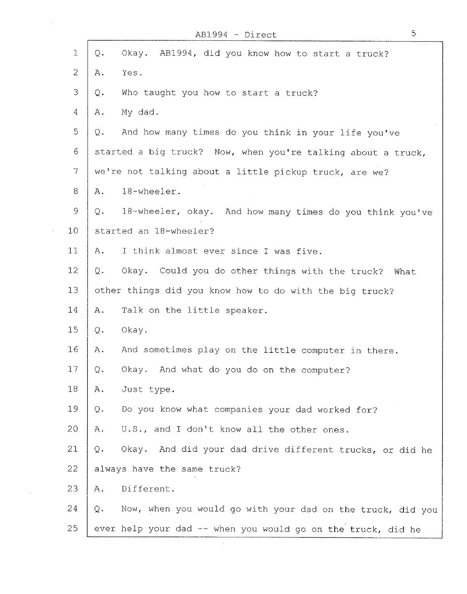|                                                           |                | 5<br>AB1994 - Direct                                         |
|-----------------------------------------------------------|----------------|--------------------------------------------------------------|
| $1\,$                                                     | $Q$ .          | Okay. AB1994, did you know how to start a truck?             |
| $\overline{2}$                                            | Α.             | Yes.                                                         |
| 3                                                         | Q.             | Who taught you how to start a truck?                         |
| $\boldsymbol{4}$                                          | Α.             | My dad.                                                      |
| 5                                                         | Q.             | And how many times do you think in your life you've          |
| 6                                                         |                | started a big truck? Now, when you're talking about a truck, |
| $\overline{7}$                                            |                | we're not talking about a little pickup truck, are we?       |
| $8\,$                                                     | Α.             | 18-wheeler.                                                  |
| $\mathcal{G}% _{M_{1},M_{2}}^{\alpha,\beta}(\mathcal{A})$ | Q.             | 18-wheeler, okay. And how many times do you think you've     |
| 10                                                        |                | started an 18-wheeler?                                       |
| 11                                                        | Α.             | I think almost ever since I was five.                        |
| 12                                                        | Q.             | Okay. Could you do other things with the truck? What         |
| 13                                                        |                | other things did you know how to do with the big truck?      |
| 14                                                        | Α.             | Talk on the little speaker.                                  |
| 15                                                        | Q.             | Okay.                                                        |
| 16                                                        | Α.             | And sometimes play on the little computer in there.          |
| $17\,$                                                    | $\mathrm{Q}$ . | Okay. And what do you do on the computer?                    |
| 18                                                        | Α.             | Just type.                                                   |
| 19                                                        | Q.             | Do you know what companies your dad worked for?              |
| 20                                                        | Α.             | U.S., and I don't know all the other ones.                   |
| 21                                                        | Q.             | Okay. And did your dad drive different trucks, or did he     |
| 22                                                        |                | always have the same truck?                                  |
| 23                                                        | Α.             | Different.                                                   |
| 24                                                        | Q.             | Now, when you would go with your dad on the truck, did you   |
| 25                                                        |                | ever help your dad -- when you would go on the truck, did he |

 $\bar{z}$ 

 $\mathcal{L}_{\mathrm{eff}}$ 

5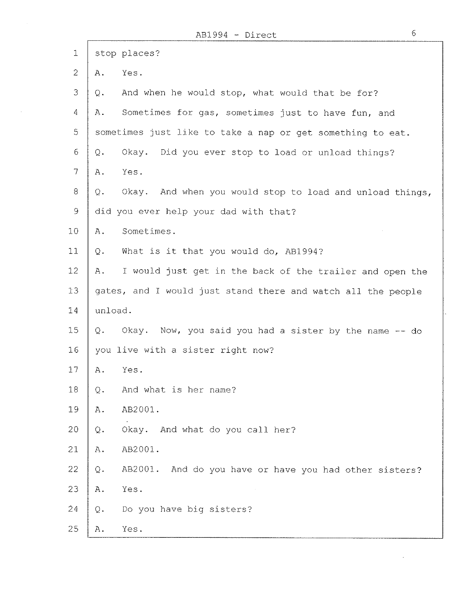$\hat{\phi}$ 

i

| $\mathbbm{1}$  | stop places?                                                    |
|----------------|-----------------------------------------------------------------|
| $\overline{c}$ | Yes.<br>Α.                                                      |
| 3              | And when he would stop, what would that be for?<br>Q.           |
| 4              | Sometimes for gas, sometimes just to have fun, and<br>Α.        |
| 5              | sometimes just like to take a nap or get something to eat.      |
| 6              | Did you ever stop to load or unload things?<br>Okay.<br>Q.      |
| $\overline{7}$ | Yes.<br>Α.                                                      |
| 8              | Okay. And when you would stop to load and unload things,<br>Q.  |
| 9              | did you ever help your dad with that?                           |
| 10             | Sometimes.<br>Α.                                                |
| 11             | What is it that you would do, AB1994?<br>Q.                     |
| 12             | I would just get in the back of the trailer and open the<br>Α.  |
| 13             | gates, and I would just stand there and watch all the people    |
| 14             | unload.                                                         |
| 15             | Okay. Now, you said you had a sister by the name -- do<br>Q.    |
| 16             | you live with a sister right now?                               |
| 17             | Yes.<br>Α.                                                      |
| 18             | And what is her name?<br>Q.                                     |
| 19             | AB2001.<br>Α.                                                   |
| 20             | Okay. And what do you call her?<br>Q.                           |
| 21             | AB2001.<br>Α.                                                   |
| 22             | AB2001. And do you have or have you had other sisters?<br>$Q$ . |
| 23             | Yes.<br>Α.                                                      |
| 24             | Do you have big sisters?<br>Q.                                  |
| 25             | Yes.<br>Α.                                                      |

 $\sim 10^{-1}$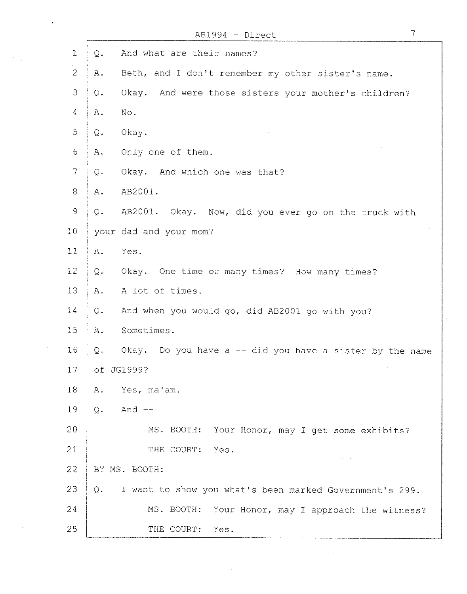|                |       | 7<br>AB1994 - Direct                                        |  |
|----------------|-------|-------------------------------------------------------------|--|
| $\mathbf 1$    | $Q$ . | And what are their names?                                   |  |
| $\mathbf{2}$   | Α.    | Beth, and I don't remember my other sister's name.          |  |
| 3              | Q.    | And were those sisters your mother's children?<br>Okay.     |  |
| 4              | Α.    | No.                                                         |  |
| 5              | Q.    | Okay.                                                       |  |
| 6              | Α.    | Only one of them.                                           |  |
| $\overline{7}$ | Q.    | Okay. And which one was that?                               |  |
| 8              | Α.    | AB2001.                                                     |  |
| $\mathcal{G}$  | Q.    | AB2001. Okay. Now, did you ever go on the truck with        |  |
| 10             |       | your dad and your mom?                                      |  |
| 11             | Α.    | Yes.                                                        |  |
| 12             | Q.    | Okay. One time or many times? How many times?               |  |
| 13             | $A$ . | A lot of times.                                             |  |
| 14             | $Q$ . | And when you would go, did AB2001 go with you?              |  |
| 15             | Α.    | Sometimes.                                                  |  |
| 16             | Q.    | Okay.<br>Do you have a -- did you have a sister by the name |  |
| 17             |       | of JG1999?                                                  |  |
| 18             | Α.    | Yes, ma'am.                                                 |  |
| 19             | Q.    | And $--$                                                    |  |
| 20             |       | MS. BOOTH:<br>Your Honor, may I get some exhibits?          |  |
| 21             |       | THE COURT:<br>Yes.                                          |  |
| 22             |       | BY MS. BOOTH:                                               |  |
| 23             | Q.    | I want to show you what's been marked Government's 299.     |  |
| 24             |       | MS. BOOTH:<br>Your Honor, may I approach the witness?       |  |
| 25             |       | THE COURT:<br>Yes.                                          |  |

 $\sim 10^{-10}$ 

 $\label{eq:2} \frac{1}{\sqrt{2}}\left(\frac{1}{\sqrt{2}}\right)^{2} \left(\frac{1}{\sqrt{2}}\right)^{2} \left(\frac{1}{\sqrt{2}}\right)^{2}$ 

 $\label{eq:2} \frac{1}{\sqrt{2}}\left(\frac{1}{\sqrt{2}}\right)^{2} \left(\frac{1}{\sqrt{2}}\right)^{2} \left(\frac{1}{\sqrt{2}}\right)^{2}$ 

 $\sim 10^{-11}$ 

 $\sim 10^{-10}$ 

 $\bar{\mathcal{A}}$ 

 $\langle \hat{u} | \hat{u} \rangle \langle \hat{u} \rangle$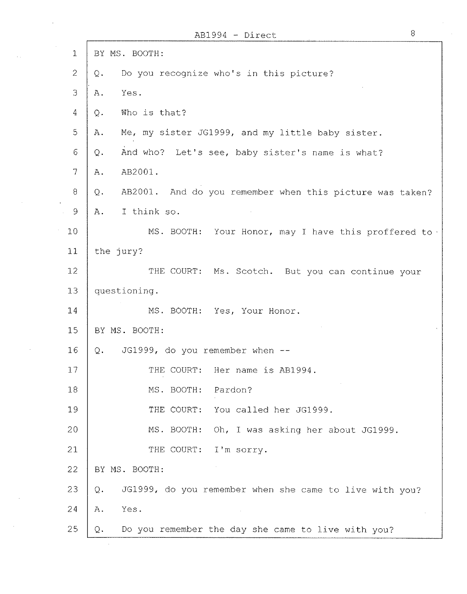|                 | $AB1994 - Direct$                                              | 8 |
|-----------------|----------------------------------------------------------------|---|
| $\mathbf{1}$    | BY MS. BOOTH:                                                  |   |
| $\overline{2}$  | Do you recognize who's in this picture?<br>Q.                  |   |
| 3               | Yes.<br>Α.                                                     |   |
| 4               | Who is that?<br>Q.                                             |   |
| 5               | Me, my sister JG1999, and my little baby sister.<br>Α.         |   |
| 6               | And who? Let's see, baby sister's name is what?<br>Q.          |   |
| 7               | AB2001.<br>A.                                                  |   |
| 8               | AB2001. And do you remember when this picture was taken?<br>Q. |   |
| $\mathcal{Q}$   | I think so.<br>Α.                                              |   |
| 10              | MS. BOOTH: Your Honor, may I have this proffered to.           |   |
| 11              | the jury?                                                      |   |
| 12 <sub>1</sub> | THE COURT: Ms. Scotch. But you can continue your               |   |
| 13              | questioning.                                                   |   |
| 14              | MS. BOOTH: Yes, Your Honor.                                    |   |
| 15              | BY MS. BOOTH:                                                  |   |
| 16              | JG1999, do you remember when --<br>Q.                          |   |
| 17              | THE COURT:<br>Her name is AB1994.                              |   |
| 18              | MS. BOOTH:<br>Pardon?                                          |   |
| 19              | THE COURT:<br>You called her JG1999.                           |   |
| 20              | MS. BOOTH:<br>Oh, I was asking her about JG1999.               |   |
| 21              | THE COURT:<br>I'm sorry.                                       |   |
| 22              | BY MS. BOOTH:                                                  |   |
| 23              | JG1999, do you remember when she came to live with you?<br>Q.  |   |
| 24              | Yes.<br>Α.                                                     |   |
| 25              | Do you remember the day she came to live with you?<br>Q.       |   |

 $\bar{z}$ 

 $\hat{A}^{\rm (1)}$ 

 $\sim$   $\epsilon$ 

 $\mathcal{L}_{\text{max}}(\mathcal{L}_{\text{max}})$  , and

 $\sim 10^{-10}$ 

 $\sim$ 

 $\sim$   $\sim$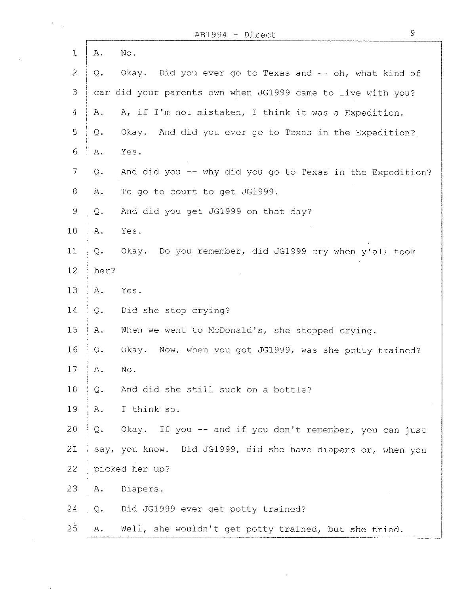$\sim$  $\sim$ 

 $\sim$ 

 $\mathcal{A}_1$ 

 $\Gamma$ 

| 1               | $\mathbbm{A}$ .<br>No.                                             |  |
|-----------------|--------------------------------------------------------------------|--|
| $\overline{2}$  | Okay. Did you ever go to Texas and -- oh, what kind of<br>Q.       |  |
| 3               | car did your parents own when JG1999 came to live with you?        |  |
| 4               | A, if I'm not mistaken, I think it was a Expedition.<br>Α.         |  |
| 5               | Okay. And did you ever go to Texas in the Expedition?<br>Q.        |  |
| 6               | Yes.<br>Α.                                                         |  |
| $\overline{7}$  | And did you -- why did you go to Texas in the Expedition?<br>Q.    |  |
| 8               | To go to court to get JG1999.<br>Α.                                |  |
| 9               | And did you get JG1999 on that day?<br>Q.                          |  |
| 10 <sub>1</sub> | Yes.<br>Α.                                                         |  |
| 11              | Do you remember, did JG1999 cry when y'all took<br>Q.<br>Okay.     |  |
| 12 <sub>2</sub> | her?                                                               |  |
| 13              | Yes.<br>$A_{\bullet}$                                              |  |
| 14              | Did she stop crying?<br>$Q$ .                                      |  |
| 15              | When we went to McDonald's, she stopped crying.<br>A.              |  |
| 16              | Now, when you got JG1999, was she potty trained?<br>Okay.<br>$Q$ . |  |
| 17              | A.<br>No.                                                          |  |
| 18              | And did she still suck on a bottle?<br>Q.                          |  |
| 19              | I think so.<br>Α.                                                  |  |
| 20              | Okay. If you -- and if you don't remember, you can just<br>Q.      |  |
| 21              | say, you know. Did JG1999, did she have diapers or, when you       |  |
| $22 \,$         | picked her up?                                                     |  |
| 23              | Diapers.<br>Α.                                                     |  |
| 24              | Did JG1999 ever get potty trained?<br>Q.                           |  |
| 25              | Well, she wouldn't get potty trained, but she tried.<br>Α.         |  |

 $\bar{z}$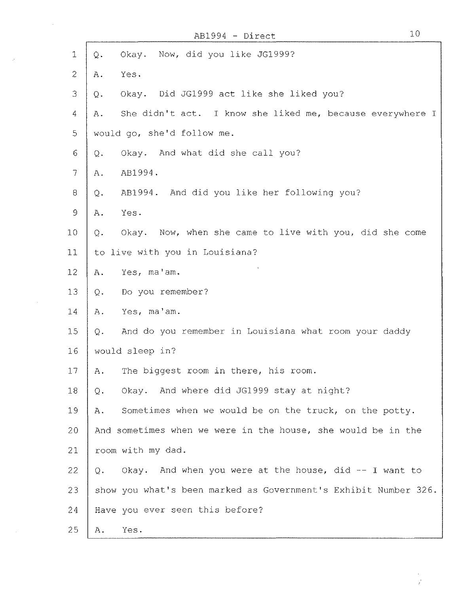$\bar{\mathcal{A}}$ 

 $\bar{\mathcal{A}}$ 

| $\mathbf 1$              | Q.          | Okay. Now, did you like JG1999?                                 |
|--------------------------|-------------|-----------------------------------------------------------------|
| $\overline{c}$           | Α.          | Yes.                                                            |
| 3                        | Q.          | Okay. Did JG1999 act like she liked you?                        |
| $\overline{4}$           | Α.          | She didn't act. I know she liked me, because everywhere I       |
| 5                        |             | would go, she'd follow me.                                      |
| 6                        | Q.          | Okay. And what did she call you?                                |
| $\overline{\mathcal{L}}$ | Α.          | AB1994.                                                         |
| 8                        | Q.          | AB1994. And did you like her following you?                     |
| $\mathsf{9}$             | Α.          | Yes.                                                            |
| 10                       | Q.          | Okay. Now, when she came to live with you, did she come         |
| 11                       |             | to live with you in Louisiana?                                  |
| 12                       | Α.          | Yes, ma'am.                                                     |
| 13                       | $Q$ .       | Do you remember?                                                |
| 14                       | Α.          | Yes, ma'am.                                                     |
| 15                       | $Q_{\star}$ | And do you remember in Louisiana what room your daddy           |
| 16                       |             | would sleep in?                                                 |
| 17                       | Α.          | The biggest room in there, his room.                            |
| 18                       | Q.          | Okay. And where did JG1999 stay at night?                       |
| 19                       | Α.          | Sometimes when we would be on the truck, on the potty.          |
| 20                       |             | And sometimes when we were in the house, she would be in the    |
| 21                       |             | room with my dad.                                               |
| 22                       | Q.          | Okay. And when you were at the house, did -- I want to          |
| 23                       |             | show you what's been marked as Government's Exhibit Number 326. |
| 24                       |             | Have you ever seen this before?                                 |
| 25                       | Α.          | Yes.                                                            |

10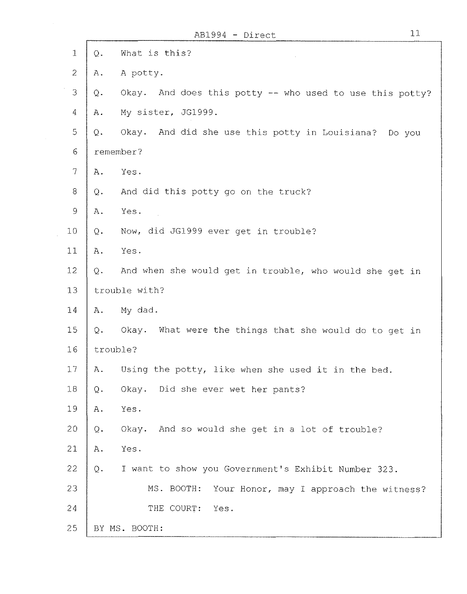| $\mathbf{1}$             | $Q$ . | What is this?                                            |
|--------------------------|-------|----------------------------------------------------------|
| $\overline{2}$           | Α.    | A potty.                                                 |
| 3                        | $Q$ . | Okay. And does this potty -- who used to use this potty? |
| 4                        | Α.    | My sister, JG1999.                                       |
| 5                        | Q.    | Okay. And did she use this potty in Louisiana? Do you    |
| 6                        |       | remember?                                                |
| $\overline{\mathcal{L}}$ | Α.    | Yes.                                                     |
| 8                        | Q.    | And did this potty go on the truck?                      |
| 9                        | Α.    | Yes.                                                     |
| 10                       | Q.    | Now, did JG1999 ever get in trouble?                     |
| 11                       | Α.    | Yes.                                                     |
| 12                       | Q.    | And when she would get in trouble, who would she get in  |
| 13                       |       | trouble with?                                            |
| 14                       | Α.    | My dad.                                                  |
| 15                       | Q.    | Okay. What were the things that she would do to get in   |
| 16                       |       | trouble?                                                 |
| 17                       | Α.    | Using the potty, like when she used it in the bed.       |
| $18\,$                   | Q.    | Okay. Did she ever wet her pants?                        |
| 19                       | A.    | Yes.                                                     |
| 20                       | $Q$ . | Okay. And so would she get in a lot of trouble?          |
| 21                       | Α.    | Yes.                                                     |
| 22                       | $Q$ . | I want to show you Government's Exhibit Number 323.      |
| 23                       |       | Your Honor, may I approach the witness?<br>MS. BOOTH:    |
| 24                       |       | THE COURT:<br>Yes.                                       |
| 25                       |       | BY MS. BOOTH:                                            |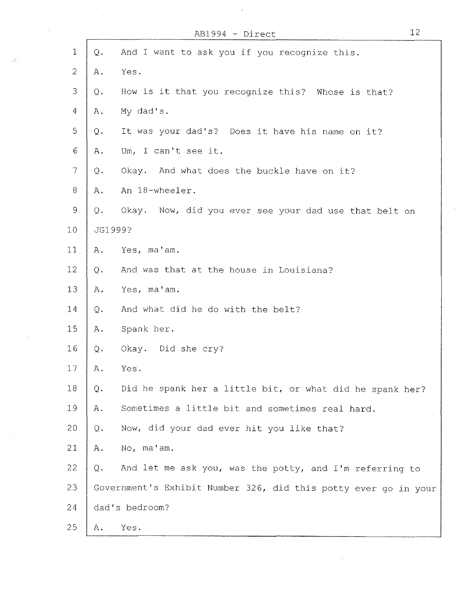|                          |                         | AB1994 - Direct                                                 | 12 |
|--------------------------|-------------------------|-----------------------------------------------------------------|----|
| $\mathbf 1$              | $Q$ .                   | And I want to ask you if you recognize this.                    |    |
| $\sqrt{2}$               | Α.                      | Yes.                                                            |    |
| 3                        | Q.                      | How is it that you recognize this? Whose is that?               |    |
| $\overline{4}$           | Α.                      | My dad's.                                                       |    |
| 5                        | $\mathbf{\mathbb{Q}}$ . | It was your dad's? Does it have his name on it?                 |    |
| 6                        | Α.                      | Um, I can't see it.                                             |    |
| $\overline{\mathcal{I}}$ | Q.                      | Okay. And what does the buckle have on it?                      |    |
| $\,8\,$                  | Α.                      | An 18-wheeler.                                                  |    |
| $\mathcal{G}$            | $Q$ .                   | Okay. Now, did you ever see your dad use that belt on           |    |
| 10                       |                         | JG1999?                                                         |    |
| 11                       | Α.                      | Yes, ma'am.                                                     |    |
| 12                       | $Q$ .                   | And was that at the house in Louisiana?                         |    |
| 13                       | Α.                      | Yes, ma'am.                                                     |    |
| 14                       | Q.                      | And what did he do with the belt?                               |    |
| 15                       | Α.                      | Spank her.                                                      |    |
| 16                       | $\mathbb Q$ .           | Okay. Did she cry?                                              |    |
| 17                       | Α.                      | Yes.                                                            |    |
| 18                       | $Q$ .                   | Did he spank her a little bit, or what did he spank her?        |    |
| 19                       | Α.                      | Sometimes a little bit and sometimes real hard.                 |    |
| 20                       | $Q$ .                   | Now, did your dad ever hit you like that?                       |    |
| 21                       | Α.                      | No, ma'am.                                                      |    |
| 22                       | Q.                      | And let me ask you, was the potty, and I'm referring to         |    |
| 23                       |                         | Government's Exhibit Number 326, did this potty ever go in your |    |
| 24                       |                         | dad's bedroom?                                                  |    |
| 25                       | Α.                      | Yes.                                                            |    |

 $\mathcal{L}_{\text{max}}$ 

 $\sim 10^6$ 

 $\sim 20^{11}$  and  $\sim 10^{11}$  $\mathcal{L}^{\text{max}}_{\text{max}}$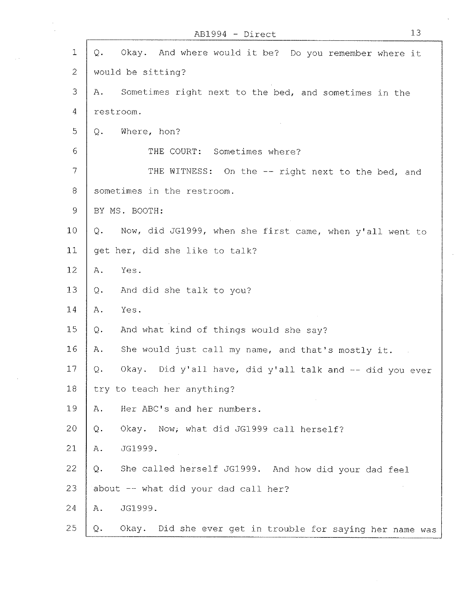|                | 13<br>AB1994 - Direct                                           |
|----------------|-----------------------------------------------------------------|
| 1              | Okay. And where would it be? Do you remember where it<br>Q.     |
| $\overline{c}$ | would be sitting?                                               |
| 3              | Sometimes right next to the bed, and sometimes in the<br>Α.     |
| $\overline{4}$ | restroom.                                                       |
| 5              | Where, hon?<br>Q.                                               |
| 6              | THE COURT: Sometimes where?                                     |
| 7              | THE WITNESS: On the -- right next to the bed, and               |
| 8              | sometimes in the restroom.                                      |
| 9              | BY MS. BOOTH:                                                   |
| 10             | Now, did JG1999, when she first came, when y'all went to<br>Q.  |
| 11             | get her, did she like to talk?                                  |
| $12 \,$        | Yes.<br>Α.                                                      |
| 13             | And did she talk to you?<br>$\mathbf Q$ .                       |
| 14             | Yes.<br>Α.                                                      |
| 15             | And what kind of things would she say?<br>Q.                    |
| 16             | She would just call my name, and that's mostly it.<br>Α.        |
| 17             | Okay. Did y'all have, did y'all talk and -- did you ever<br>Q.  |
| 18             | try to teach her anything?                                      |
| 19             | Her ABC's and her numbers.<br>Α.                                |
| 20             | Okay. Now, what did JG1999 call herself?<br>Q.                  |
| 21             | JG1999.<br>Α.                                                   |
| 22             | She called herself JG1999. And how did your dad feel<br>Q.      |
| 23             | about -- what did your dad call her?                            |
| 24             | JG1999.<br>Α.                                                   |
| 25             | Okay. Did she ever get in trouble for saying her name was<br>Q. |

 $\sim$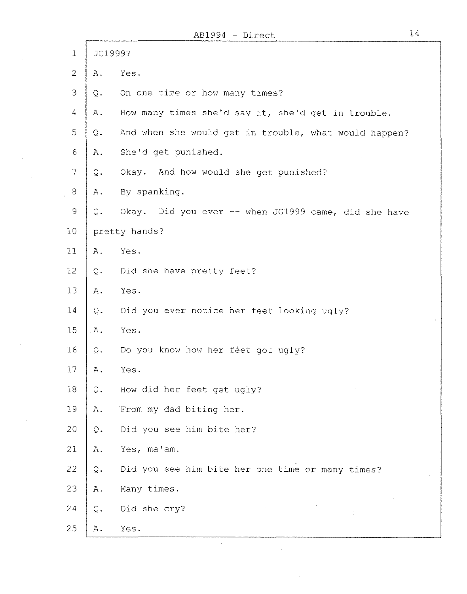|                |               | 14<br>$AB1994 - Direct$                               |
|----------------|---------------|-------------------------------------------------------|
| $1\,$          |               | JG1999?                                               |
| $\overline{2}$ | Α.            | Yes.                                                  |
| 3              | Q.            | On one time or how many times?                        |
| 4              | Α.            | How many times she'd say it, she'd get in trouble.    |
| 5              | Q.            | And when she would get in trouble, what would happen? |
| 6              | Α.            | She'd get punished.                                   |
| $\overline{7}$ | Q.            | Okay. And how would she get punished?                 |
| 8              | $A_{\bullet}$ | By spanking.                                          |
| $\mathsf 9$    | Q.            | Okay. Did you ever -- when JG1999 came, did she have  |
| 10             |               | pretty hands?                                         |
| 11             | Α.            | Yes.                                                  |
| 12             | $Q$ .         | Did she have pretty feet?                             |
| 13             | Α.            | Yes.                                                  |
| 14             | Q.            | Did you ever notice her feet looking ugly?            |
| 15             | $A$ .         | Yes.                                                  |
| 16             | Q.            | Do you know how her féet got ugly?                    |
| 17             | Α.            | Yes.                                                  |
| 18             | Q.            | How did her feet get ugly?                            |
| 19             | A.            | From my dad biting her.                               |
| 20             | $Q$ .         | Did you see him bite her?                             |
| 21             | Α.            | Yes, ma'am.                                           |
| 22             | Q.            | Did you see him bite her one time or many times?      |
| 23             | Α.            | Many times.                                           |
| 24             | Q.            | Did she cry?                                          |
| 25             | Α.            | Yes.                                                  |
|                |               |                                                       |

 $\hat{\mathcal{A}}$ 

 $\gamma_{\rm{eff}}$ 

 $\mathcal{L}_{\mathcal{A}}$ 

 $\sim 10^7$ 

 $\hat{\mathcal{A}}$ 

 $\sim$ 

14

 $\sim$ 

 $\bar{u}$ 

 $\ddot{\phantom{0}}$ 

 $\mathcal{I}^{\pm}$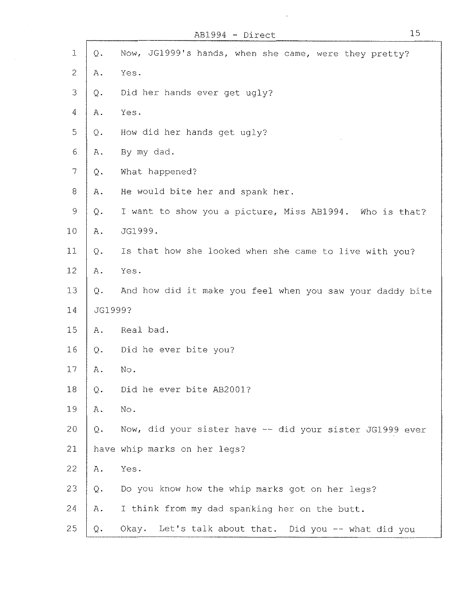$\sim$ 

| 1              | $\mathbf Q$ .           | Now, JG1999's hands, when she came, were they pretty?     |
|----------------|-------------------------|-----------------------------------------------------------|
| $\overline{2}$ | Α.                      | Yes.                                                      |
| 3              | Q.                      | Did her hands ever get ugly?                              |
| 4              | Α.                      | Yes.                                                      |
| 5              | Q.                      | How did her hands get ugly?                               |
| $\epsilon$     | Α.                      | By my dad.                                                |
| $\overline{7}$ | $\mathbf{\mathbb{Q}}$ . | What happened?                                            |
| $8\,$          | Α.                      | He would bite her and spank her.                          |
| $\mathcal{G}$  | $\mathbf Q$ .           | I want to show you a picture, Miss AB1994. Who is that?   |
| 10             | Α.                      | JG1999.                                                   |
| 11             | $Q$ .                   | Is that how she looked when she came to live with you?    |
| 12             | Α.                      | Yes.                                                      |
| 13             | $Q$ .                   | And how did it make you feel when you saw your daddy bite |
| 14             | JG1999?                 |                                                           |
| 15             | Α.                      | Real bad.                                                 |
| 16             | Q.                      | Did he ever bite you?                                     |
| 17             | Α.                      | No.                                                       |
| 18             | Q.                      | Did he ever bite AB2001?                                  |
| 19             | Α.                      | No.                                                       |
| 20             | Q.                      | Now, did your sister have -- did your sister JG1999 ever  |
| 21             |                         | have whip marks on her legs?                              |
| 22             | Α.                      | Yes.                                                      |
| 23             | Q.                      | Do you know how the whip marks got on her legs?           |
| 24             | Α.                      | I think from my dad spanking her on the butt.             |
| 25             | Q.                      | Okay. Let's talk about that. Did you -- what did you      |

 $\mathcal{A}^{\mathcal{A}}$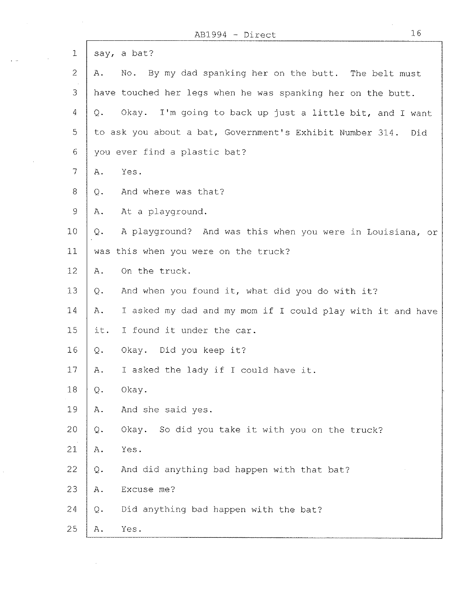$\hat{\mathcal{A}}$ 

 $\mathcal{A}$ 

 $\hat{\mathcal{L}}$ 

 $\sim 10^7$ 

 $\overline{\Gamma}$ 

| $\mathbf{1}$   | say, a bat?                                                       |
|----------------|-------------------------------------------------------------------|
| $\overline{2}$ | No. By my dad spanking her on the butt. The belt must<br>Α.       |
| 3              | have touched her legs when he was spanking her on the butt.       |
| 4              | Okay. I'm going to back up just a little bit, and I want<br>$Q$ . |
| 5              | to ask you about a bat, Government's Exhibit Number 314.<br>Did   |
| 6              | you ever find a plastic bat?                                      |
| 7              | Yes.<br>Α.                                                        |
| 8 <sup>1</sup> | And where was that?<br>Q.                                         |
| 9              | At a playground.<br>Α.                                            |
| 10             | A playground? And was this when you were in Louisiana, or<br>Q.   |
| 11             | was this when you were on the truck?                              |
| 12             | On the truck.<br>Α.                                               |
| 13             | And when you found it, what did you do with it?<br>Q.             |
| 14             | Α.<br>I asked my dad and my mom if I could play with it and have  |
| 15             | I found it under the car.<br>it.                                  |
| 16             | Okay. Did you keep it?<br>$Q$ .                                   |
| 17             | I asked the lady if I could have it.<br>Α.                        |
| 18             | $Q$ .<br>Okay.                                                    |
| 19             | And she said yes.<br>Α.                                           |
| 20             | Okay. So did you take it with you on the truck?<br>Q.             |
| 21             | Yes.<br>Α.                                                        |
| 22             | And did anything bad happen with that bat?<br>$\mathbf Q$ .       |
| 23             | Excuse me?<br>Α.                                                  |
| 24             | Did anything bad happen with the bat?<br>Q.                       |
| 25             | Yes.<br>Α.                                                        |

Ť

 $\bar{z}$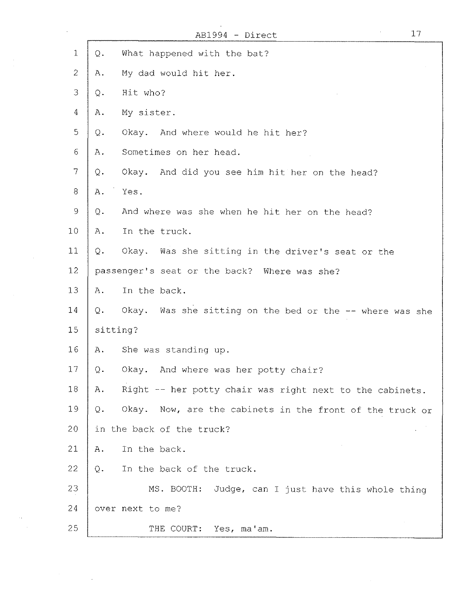|                |          | 17<br>AB1994 - Direct                                    |
|----------------|----------|----------------------------------------------------------|
| $\mathbf{1}$   | Q.       | What happened with the bat?                              |
| $\mathbf{2}$   | Α.       | My dad would hit her.                                    |
| 3              | Q.       | Hit who?                                                 |
| $\overline{4}$ | Α.       | My sister.                                               |
| 5              | Q.       | Okay. And where would he hit her?                        |
| $\epsilon$     | Α.       | Sometimes on her head.                                   |
| $\overline{7}$ | Q.       | Okay. And did you see him hit her on the head?           |
| $8\,$          | Α.       | Yes.                                                     |
| 9              | Q.       | And where was she when he hit her on the head?           |
| 10             | Α.       | In the truck.                                            |
| 11             | $Q -$    | Okay. Was she sitting in the driver's seat or the        |
| 12             |          | passenger's seat or the back? Where was she?             |
| 13             | Α.       | In the back.                                             |
| 14             | Q.       | Okay. Was she sitting on the bed or the -- where was she |
| 15             | sitting? |                                                          |
| 16             | Α.       | She was standing up.                                     |
| 17             | Q.       | Okay. And where was her potty chair?                     |
| 18             | Α.       | Right -- her potty chair was right next to the cabinets. |
| 19             | Q.       | Okay. Now, are the cabinets in the front of the truck or |
| 20             |          | in the back of the truck?                                |
| 21             | Α.       | In the back.                                             |
| 22             | Q.       | In the back of the truck.                                |
| 23             |          | MS. BOOTH:<br>Judge, can I just have this whole thing    |
| 24             |          | over next to me?                                         |
| 25             |          | THE COURT:<br>Yes, ma'am.                                |

 $\sim 10^7$ 

 $\frac{1}{2}$ 

 $\mathcal{A}^{\pm}$ 

 $\sim 100$ 

 $\label{eq:2.1} \frac{1}{\sqrt{2}}\int_{\mathbb{R}^3}\frac{1}{\sqrt{2}}\left(\frac{1}{\sqrt{2}}\right)^2\frac{1}{\sqrt{2}}\left(\frac{1}{\sqrt{2}}\right)^2\frac{1}{\sqrt{2}}\left(\frac{1}{\sqrt{2}}\right)^2.$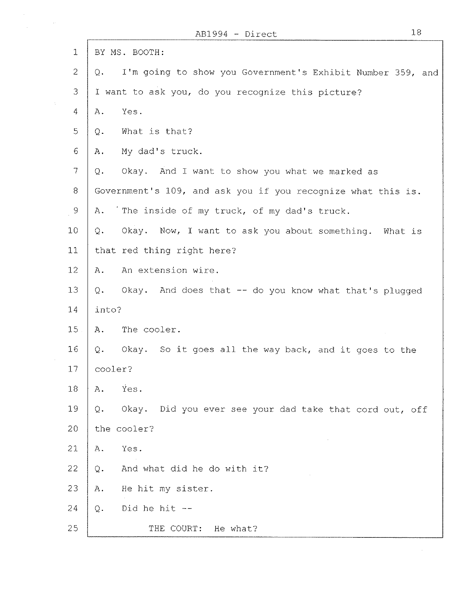|                                 | 18<br>$AB1994 - Direct$                                          |  |
|---------------------------------|------------------------------------------------------------------|--|
| $\mathbf{1}$                    | BY MS. BOOTH:                                                    |  |
| $\overline{2}$                  | I'm going to show you Government's Exhibit Number 359, and<br>Q. |  |
| 3                               | I want to ask you, do you recognize this picture?                |  |
| $\mathcal{N}_{\mathrm{c}}$<br>4 | Yes.<br>Α.                                                       |  |
| 5                               | What is that?<br>Q.                                              |  |
| 6                               | My dad's truck.<br>Α.                                            |  |
| $\tau$                          | Okay. And I want to show you what we marked as<br>Q.             |  |
| 8                               | Government's 109, and ask you if you recognize what this is.     |  |
| $\overline{9}$                  | The inside of my truck, of my dad's truck.<br>Α.                 |  |
| 10                              | Okay. Now, I want to ask you about something.<br>Q.<br>What is   |  |
| 11                              | that red thing right here?                                       |  |
| 12 <sub>1</sub>                 | An extension wire.<br>Α.                                         |  |
| 13                              | Okay. And does that -- do you know what that's plugged<br>Q.     |  |
| 14                              | into?                                                            |  |
| 15.                             | The cooler.<br>Α.                                                |  |
| 16                              | $Q$ .<br>Okay. So it goes all the way back, and it goes to the   |  |
| 17                              | cooler?                                                          |  |
| 18                              | Yes.<br>A.                                                       |  |
| 19                              | Okay. Did you ever see your dad take that cord out, off<br>Q.    |  |
| 20                              | the cooler?                                                      |  |
| 21                              | Yes.<br>$A$ .                                                    |  |
| 22                              | And what did he do with it?<br>Q.                                |  |
| 23                              | He hit my sister.<br>Α.                                          |  |
| 24                              | Did he hit $--$<br>Q.                                            |  |
| 25                              | THE COURT:<br>He what?                                           |  |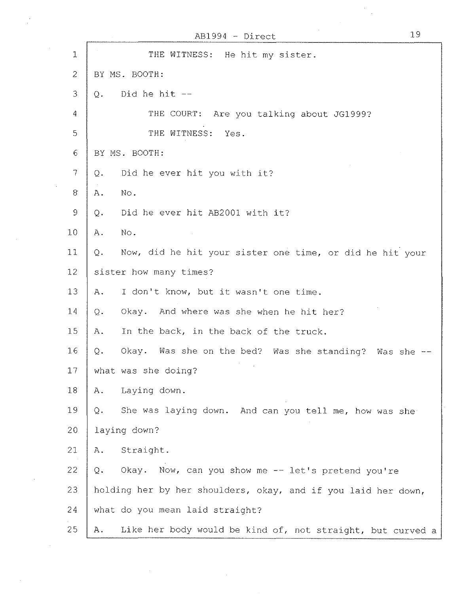|                          | 19<br>$AB1994 - Direct$                                          |
|--------------------------|------------------------------------------------------------------|
| 1                        | THE WITNESS:<br>He hit my sister.                                |
| $\overline{2}$           | BY MS. BOOTH:                                                    |
| 3                        | Did he hit --<br>$Q_{\star}$                                     |
| 4                        | THE COURT: Are you talking about JG1999?                         |
| 5                        | THE WITNESS:<br>Yes.                                             |
| 6                        | BY MS. BOOTH:                                                    |
| $\overline{\mathcal{I}}$ | Did he ever hit you with it?<br>Q.                               |
| 8                        | No.<br>Α.                                                        |
| $\mathcal{G}$            | Did he ever hit AB2001 with it?<br>$\mathbb{Q}$ .                |
| 10                       | No.<br>Α.                                                        |
| 11                       | Now, did he hit your sister one time, or did he hit your<br>Q.   |
| 12                       | sister how many times?                                           |
| 13                       | I don't know, but it wasn't one time.<br>Α.                      |
| 14                       | Okay. And where was she when he hit her?<br>Q.                   |
| 15                       | In the back, in the back of the truck.<br>Α.                     |
| 16                       | $Q$ .<br>Okay. Was she on the bed? Was she standing? Was she --  |
| 17                       | what was she doing?                                              |
| 18                       | Laying down.<br>Α.                                               |
| 19                       | She was laying down. And can you tell me, how was she<br>Q.      |
| 20                       | laying down?                                                     |
| 21                       | Straight.<br>Α.                                                  |
| 22                       | Okay. Now, can you show me -- let's pretend you're<br>Q.         |
| 23                       | holding her by her shoulders, okay, and if you laid her down,    |
| 24                       | what do you mean laid straight?                                  |
| 25                       | Like her body would be kind of, not straight, but curved a<br>Α. |

 $\label{eq:2.1} \frac{1}{\sqrt{2}}\left(\frac{1}{\sqrt{2}}\right)^{2} \left(\frac{1}{\sqrt{2}}\right)^{2} \left(\frac{1}{\sqrt{2}}\right)^{2} \left(\frac{1}{\sqrt{2}}\right)^{2} \left(\frac{1}{\sqrt{2}}\right)^{2} \left(\frac{1}{\sqrt{2}}\right)^{2} \left(\frac{1}{\sqrt{2}}\right)^{2} \left(\frac{1}{\sqrt{2}}\right)^{2} \left(\frac{1}{\sqrt{2}}\right)^{2} \left(\frac{1}{\sqrt{2}}\right)^{2} \left(\frac{1}{\sqrt{2}}\right)^{2} \left(\$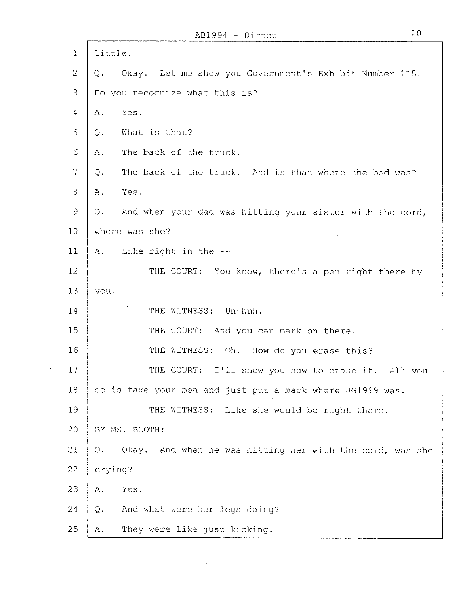| 1                        | little.                                                         |  |
|--------------------------|-----------------------------------------------------------------|--|
| $\mathcal{Z}$            | Okay. Let me show you Government's Exhibit Number 115.<br>$Q$ . |  |
| 3                        | Do you recognize what this is?                                  |  |
| 4                        | Yes.<br>Α.                                                      |  |
| 5                        | What is that?<br>Q.                                             |  |
| $\sigma$                 | The back of the truck.<br>Α.                                    |  |
| $\overline{\mathcal{L}}$ | The back of the truck. And is that where the bed was?<br>Q.     |  |
| 8                        | Yes.<br>Α.                                                      |  |
| $\circ$                  | And when your dad was hitting your sister with the cord,<br>Q.  |  |
| 10                       | where was she?                                                  |  |
| 11                       | Like right in the --<br>$A$ .                                   |  |
| 12 <sub>2</sub>          | THE COURT: You know, there's a pen right there by               |  |
| 13                       | you.                                                            |  |
| 14                       | THE WITNESS:<br>Uh-huh.                                         |  |
| 15                       | THE COURT: And you can mark on there.                           |  |
| 16                       | THE WITNESS: Oh. How do you erase this?                         |  |
| 17                       | THE COURT:<br>I'll show you how to erase it. All you            |  |
| 18                       | do is take your pen and just put a mark where JG1999 was.       |  |
| 19                       | THE WITNESS: Like she would be right there.                     |  |
| 20                       | BY MS. BOOTH:                                                   |  |
| 21                       | Okay. And when he was hitting her with the cord, was she<br>Q.  |  |
| 22                       | crying?                                                         |  |
| 23                       | Yes.<br>Α.                                                      |  |
| 24                       | And what were her legs doing?<br>$Q$ .                          |  |
| 25                       | They were like just kicking.<br>Α.                              |  |

 $\sim$ 

 $\sim 10^6$ 

 $\bar{\beta}$ 

 $\bar{z}$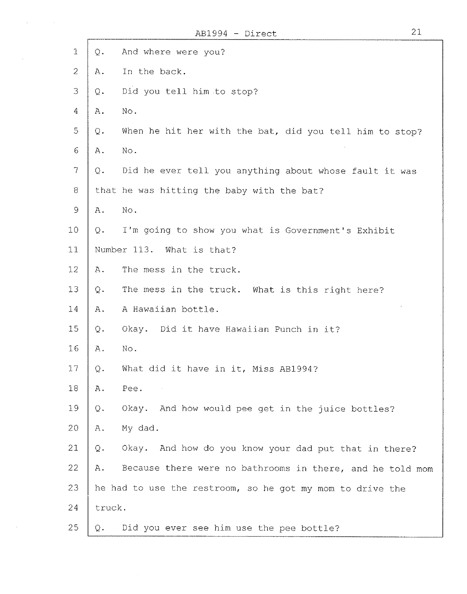|                |                | ABIYY4 - DIYECT<br>ـد ـه                                  |
|----------------|----------------|-----------------------------------------------------------|
| $\mathbf 1$    | $Q$ .          | And where were you?                                       |
| $\overline{2}$ | Α.             | In the back.                                              |
| 3              | $\mathcal Q$ . | Did you tell him to stop?                                 |
| 4              | Α.             | No.                                                       |
| 5              | Q.             | When he hit her with the bat, did you tell him to stop?   |
| 6              | Α.             | No.                                                       |
| 7              | $Q$ .          | Did he ever tell you anything about whose fault it was    |
| 8              |                | that he was hitting the baby with the bat?                |
| 9              | Α.             | No.                                                       |
| 10             | Q.             | I'm going to show you what is Government's Exhibit        |
| 11             |                | Number 113. What is that?                                 |
| 12             | Α.             | The mess in the truck.                                    |
| 13             | Q.             | The mess in the truck. What is this right here?           |
| 14             | Α.             | A Hawaiian bottle.                                        |
| 15             | Q.             | Okay. Did it have Hawaiian Punch in it?                   |
| 16             | Α.             | No.                                                       |
| 17             | Q.             | What did it have in it, Miss AB1994?                      |
| 18             | Α.             | Pee.                                                      |
| 19             | $Q$ .          | Okay. And how would pee get in the juice bottles?         |
| 20             | Α.             | My dad.                                                   |
| 21             | Q.             | Okay. And how do you know your dad put that in there?     |
| 22             | Α.             | Because there were no bathrooms in there, and he told mom |
| 23             |                | he had to use the restroom, so he got my mom to drive the |
| 24             | truck.         |                                                           |
| 25             | Q.             | Did you ever see him use the pee bottle?                  |

 $\mathcal{A}^{\text{max}}$  and  $\mathcal{A}^{\text{max}}$ 

 $\mathcal{A}(\mathcal{A})$  and  $\mathcal{A}(\mathcal{A})$ 

J.

 $\mathcal{A}^{\mathcal{A}}$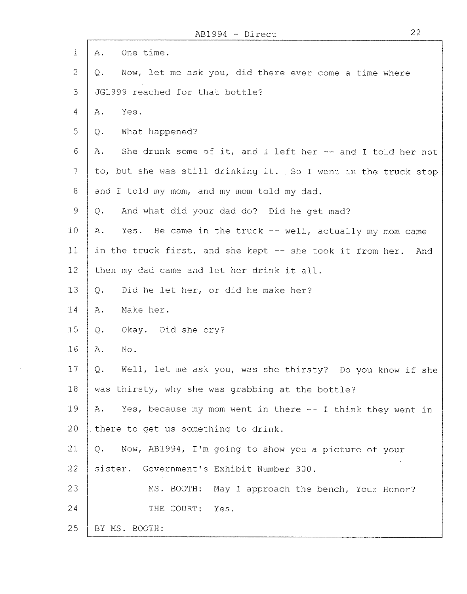|                 | ABIYY4 - DILECT<br>ے ے                                           |
|-----------------|------------------------------------------------------------------|
| $\mathbf 1$     | One time.<br>Α.                                                  |
| $\overline{2}$  | Now, let me ask you, did there ever come a time where<br>Q.      |
| $\mathcal{B}$   | JG1999 reached for that bottle?                                  |
| $\overline{4}$  | Yes.<br>$A$ .                                                    |
| 5               | What happened?<br>Q.                                             |
| 6               | She drunk some of it, and I left her -- and I told her not<br>Α. |
| $\mathcal{T}$   | to, but she was still drinking it. So I went in the truck stop   |
| 8               | and I told my mom, and my mom told my dad.                       |
| $\mathcal{G}$   | And what did your dad do? Did he get mad?<br>Q.                  |
| 10              | Yes. He came in the truck -- well, actually my mom came<br>Α.    |
| 11              | in the truck first, and she kept -- she took it from her. And    |
| 12              | then my dad came and let her drink it all.                       |
| 13              | Did he let her, or did he make her?<br>$Q$ .                     |
| 14              | Make her.<br>Α.                                                  |
| 15              | Okay. Did she cry?<br>Q.                                         |
| 16              | No.<br>Α.                                                        |
| 17 <sub>1</sub> | Well, let me ask you, was she thirsty? Do you know if she<br>Q.  |
| 18              | was thirsty, why she was grabbing at the bottle?                 |
| 19              | Yes, because my mom went in there -- I think they went in<br>Α.  |
| 20              | there to get us something to drink.                              |
| 21              | Now, AB1994, I'm going to show you a picture of your<br>Q.       |
| 22 <sub>1</sub> | sister. Government's Exhibit Number 300.                         |
| 23              | MS. BOOTH: May I approach the bench, Your Honor?                 |
| 24              | THE COURT:<br>Yes.                                               |
| 25              | BY MS. BOOTH:                                                    |

 $\mathcal{L}(\mathcal{A})$  and  $\mathcal{L}(\mathcal{A})$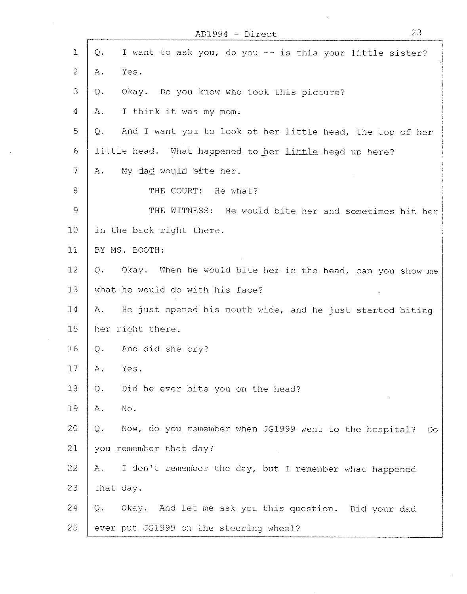| $\mathbf{1}$   | Q.<br>I want to ask you, do you -- is this your little sister?     |
|----------------|--------------------------------------------------------------------|
| $\overline{2}$ | Yes.<br>Α.                                                         |
| 3              | Okay. Do you know who took this picture?<br>Q.                     |
| 4              | I think it was my mom.<br>Α.                                       |
| 5              | And I want you to look at her little head, the top of her<br>Q.    |
| 6              | little head. What happened to her little head up here?             |
| $\overline{7}$ | My dad would bite her.<br>Α.                                       |
| 8              | THE COURT: He what?                                                |
| $\mathcal{Q}$  | THE WITNESS: He would bite her and sometimes hit her               |
| 10             | in the back right there.                                           |
| 11             | BY MS. BOOTH:                                                      |
| 12             | Okay. When he would bite her in the head, can you show me<br>Q.    |
| 13             | what he would do with his face?                                    |
| 14             | He just opened his mouth wide, and he just started biting<br>Α.    |
| 15             | her right there.                                                   |
| 16             | And did she cry?<br>Q.                                             |
| $17 \,$        | Yes.<br>Α.                                                         |
| 18             | Did he ever bite you on the head?<br>Q.                            |
| 19             | No.<br>Α.                                                          |
| 20             | Now, do you remember when JG1999 went to the hospital?<br>Q.<br>Do |
| 21             | you remember that day?                                             |
| 22             | I don't remember the day, but I remember what happened<br>Α.       |
| 23             | that day.                                                          |
| 24             | Okay. And let me ask you this question. Did your dad<br>Q.         |
| 25             | ever put JG1999 on the steering wheel?                             |

 $\sim$   $\sim$ 

 $\sim$ 

AB1994 - Direct 23

 $\mathbf{r}$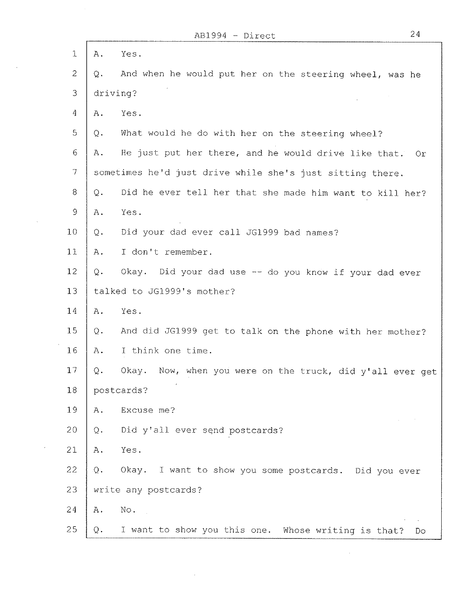$\mathbf{r}$ 

 $\ddot{\phantom{a}}$ 

 $\sim$ 

 $\sim$ 

 $\bar{z}$ 

| 1              | A.                      | Yes.                                                        |
|----------------|-------------------------|-------------------------------------------------------------|
| $\overline{2}$ | $Q$ .                   | And when he would put her on the steering wheel, was he     |
| 3              |                         | driving?                                                    |
| $\overline{4}$ | $A$ .                   | Yes.                                                        |
| 5              | Q.                      | What would he do with her on the steering wheel?            |
| 6              | Α.                      | He just put her there, and he would drive like that.<br>Or. |
| $\overline{7}$ |                         | sometimes he'd just drive while she's just sitting there.   |
| 8              | Q.                      | Did he ever tell her that she made him want to kill her?    |
| $\mathcal{Q}$  | Α.                      | Yes.                                                        |
| 10             | Q.                      | Did your dad ever call JG1999 bad names?                    |
| 11             | Α.                      | I don't remember.                                           |
| 12             | Q.                      | Okay. Did your dad use -- do you know if your dad ever      |
| 13             |                         | talked to JG1999's mother?                                  |
| 14             | Α.                      | Yes.                                                        |
| 15             | Q.                      | And did JG1999 get to talk on the phone with her mother?    |
| 16             | Α.                      | I think one time.                                           |
| 17             | $Q$ .                   | Okay. Now, when you were on the truck, did y'all ever get   |
| 18             |                         | postcards?                                                  |
| 19             | Α.                      | Excuse me?                                                  |
| 20             | $\mathbf{\mathbb{Q}}$ . | Did y'all ever send postcards?                              |
| 21             | A.                      | Yes.                                                        |
| 22             | .Q.                     | Okay. I want to show you some postcards. Did you ever       |
| 23             |                         | write any postcards?                                        |
| 24             | $A$ .                   | No.                                                         |
| 25             | $Q$ .                   | I want to show you this one. Whose writing is that?<br>Do   |

 $\hat{\mathcal{A}}$ 

 $\sim 10^{11}$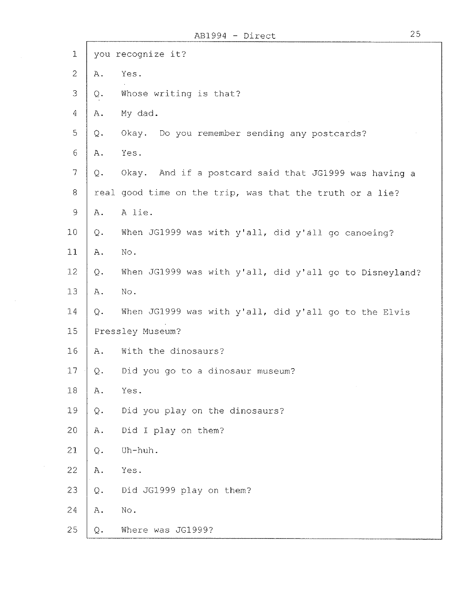| $1\,$                                                     |                 | you recognize it?                                        |
|-----------------------------------------------------------|-----------------|----------------------------------------------------------|
| $\mathbf{2}$                                              | Α.              | Yes.                                                     |
| 3                                                         | $Q$ .           | Whose writing is that?                                   |
| $\overline{4}$                                            | Α.              | My dad.                                                  |
| $\mathbb S$                                               | Q.              | Okay. Do you remember sending any postcards?             |
| $\sqrt{6}$                                                | Α.              | Yes.                                                     |
| $\overline{7}$                                            | Q.              | Okay. And if a postcard said that JG1999 was having a    |
| $8\,$                                                     |                 | real good time on the trip, was that the truth or a lie? |
| $\mathcal{G}% _{M_{1},M_{2}}^{\alpha,\beta}(\mathcal{A})$ | Α.              | A lie.                                                   |
| 10                                                        | Q.              | When JG1999 was with y'all, did y'all go canoeing?       |
| 11                                                        | Α.              | No.                                                      |
| 12                                                        | $Q$ .           | When JG1999 was with y'all, did y'all go to Disneyland?  |
| 13                                                        | $A$ .           | $\mathrm{No}$ .                                          |
| 14                                                        | $Q$ .           | When JG1999 was with y'all, did y'all go to the Elvis    |
| 15                                                        |                 | Pressley Museum?                                         |
| 16                                                        | Α.              | With the dinosaurs?                                      |
| 17                                                        | Q.              | Did you go to a dinosaur museum?                         |
| 18                                                        | ${\bf A}$ .     | Yes.                                                     |
| 19                                                        | $\mathbb Q$ .   | Did you play on the dinosaurs?                           |
| 20                                                        | ${\mathbb A}$ . | Did I play on them?                                      |
| 21                                                        | $Q$ .           | Uh-huh.                                                  |
| 22                                                        | A.              | Yes.                                                     |
| 23                                                        | Q.              | Did JG1999 play on them?                                 |
| 24                                                        | Α.              | No.                                                      |
| 25                                                        | $Q$ .           | Where was JG1999?                                        |

 $\epsilon$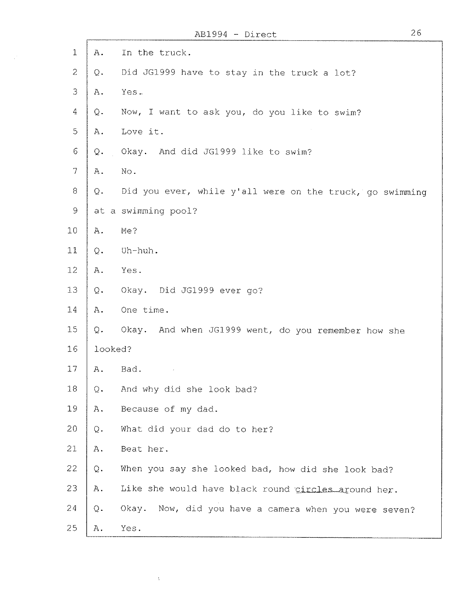|                |                 | 26<br>AB1994 - Direct                                    |  |
|----------------|-----------------|----------------------------------------------------------|--|
| $\mathbf 1$    | A.              | In the truck.                                            |  |
| $\overline{c}$ | Q.              | Did JG1999 have to stay in the truck a lot?              |  |
| 3              | Α.              | Yes.                                                     |  |
| 4              | Q.              | Now, I want to ask you, do you like to swim?             |  |
| $\mathfrak{S}$ | Α.              | Love it.                                                 |  |
| 6              | $\mathbf Q$ .   | And did JG1999 like to swim?<br>Okay.                    |  |
| $\overline{7}$ | Α.              | No.                                                      |  |
| 8              | Q.              | Did you ever, while y'all were on the truck, go swimming |  |
| 9              |                 | at a swimming pool?                                      |  |
| 10             | Α.              | Me?                                                      |  |
| 11             | $\mathbf Q$ .   | Uh-huh.                                                  |  |
| 12             | Α.              | Yes.                                                     |  |
| 13             | Q.              | Okay. Did JG1999 ever go?                                |  |
| 14             | Α.              | One time.                                                |  |
| 15             | Q.              | Okay. And when JG1999 went, do you remember how she      |  |
| 16             | looked?         |                                                          |  |
| 17             | $\mathbbm{A}$ . | Bad.                                                     |  |
| 18             | Q.              | And why did she look bad?                                |  |
| 19             | Α.              | Because of my dad.                                       |  |
| 20             | Q.              | What did your dad do to her?                             |  |
| 21             | A.              | Beat her.                                                |  |
| 22             | $\mathbf Q$ .   | When you say she looked bad, how did she look bad?       |  |
| 23             | A.              | Like she would have black round circles around her.      |  |
| 24             | $Q$ .           | Okay.<br>Now, did you have a camera when you were seven? |  |
| 25             | Α.              | Yes.                                                     |  |

 $\Delta \sim 1$ 

 $\frac{1}{2} \frac{1}{\sqrt{2}} \frac{1}{\sqrt{2}}$ 

26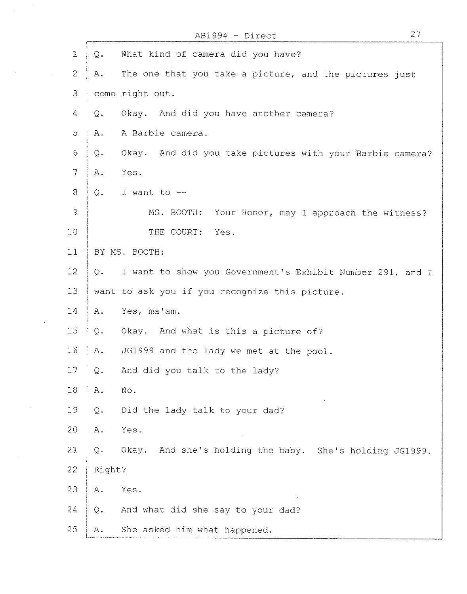|                          |        | AB1994 - Direct                                            | 27 |
|--------------------------|--------|------------------------------------------------------------|----|
| $\mathbf{1}$             | Q.     | What kind of camera did you have?                          |    |
| $\overline{2}$           | Α.     | The one that you take a picture, and the pictures just     |    |
| 3                        |        | come right out.                                            |    |
| $\overline{4}$           | Q.     | Okay. And did you have another camera?                     |    |
| 5                        | Α.     | A Barbie camera.                                           |    |
| 6                        | Q.     | Okay. And did you take pictures with your Barbie camera?   |    |
| $\overline{\phantom{a}}$ | Α.     | Yes.                                                       |    |
| 8                        | $Q$ .  | I want to $-$                                              |    |
| $\mathcal{Q}$            |        | MS. BOOTH:<br>Your Honor, may I approach the witness?      |    |
| 10                       |        | THE COURT:<br>Yes.                                         |    |
| 11                       |        | BY MS. BOOTH:                                              |    |
| 12                       | Q.     | I want to show you Government's Exhibit Number 291, and I  |    |
| 13                       |        | want to ask you if you recognize this picture.             |    |
| 14                       | $A$ .  | Yes, ma'am.                                                |    |
| 15                       | Q.     | Okay. And what is this a picture of?                       |    |
| 16                       | Α.     | JG1999 and the lady we met at the pool.                    |    |
| $17\,$                   | Q.     | And did you talk to the lady?                              |    |
| 18                       | Α.     | No.                                                        |    |
| 19                       | Q.     | Did the lady talk to your dad?                             |    |
| 20                       | Α.     | Yes.                                                       |    |
| 21                       | Q.     | Okay.<br>And she's holding the baby. She's holding JG1999. |    |
| $22 \,$                  | Right? |                                                            |    |
| 23                       | Α.     | Yes.                                                       |    |
| 24                       | Q.     | And what did she say to your dad?                          |    |
| 25                       | Α.     | She asked him what happened.                               |    |

 $\sim$ 

 $\mathcal{L}(\mathcal{A})$  and  $\mathcal{L}(\mathcal{A})$  and  $\mathcal{L}(\mathcal{A})$ 

 $\sim 10^{-1}$ 

 $\sim 10^{-11}$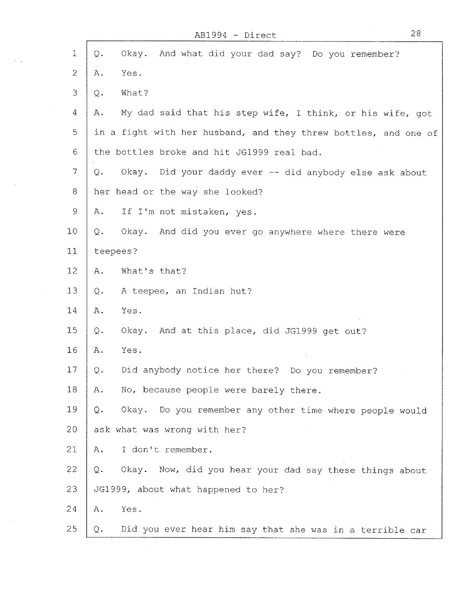$\mathbf{f}$ 

 $\sim$   $\sim$ 

 $\ddot{\phantom{a}}$ 

 $\sim$ 

 $\sim$ 

| $\mathbf{1}$        | Okay. And what did your dad say? Do you remember?<br>Q.            |
|---------------------|--------------------------------------------------------------------|
| $\mathbf{2}$        | Yes.<br>Α.                                                         |
| 3                   | What?<br>Q.                                                        |
| 4                   | My dad said that his step wife, I think, or his wife, got<br>$A$ . |
| 5                   | in a fight with her husband, and they threw bottles, and one of    |
| $6\phantom{.}6$     | the bottles broke and hit JG1999 real bad.                         |
| $\overline{\gamma}$ | Okay. Did your daddy ever -- did anybody else ask about<br>Q.      |
| 8                   | her head or the way she looked?                                    |
| $\circ$             | If I'm not mistaken, yes.<br>Α.                                    |
| 10                  | Okay. And did you ever go anywhere where there were<br>Q.          |
| 11                  | teepees?                                                           |
| 12                  | What's that?<br>Α.                                                 |
| 13                  | A teepee, an Indian hut?<br>Q.                                     |
| 14                  | Yes.<br>Α.                                                         |
| 15                  | Okay.<br>And at this place, did JG1999 get out?<br>Q.              |
| 16                  | Yes.<br>Α.                                                         |
| 17                  | Did anybody notice her there? Do you remember?<br>Q.               |
| 18                  | No, because people were barely there.<br>Α.                        |
| 19                  | Okay. Do you remember any other time where people would<br>Q.      |
| 20                  | ask what was wrong with her?                                       |
| 21                  | I don't remember.<br>Α.                                            |
| 22                  | Okay. Now, did you hear your dad say these things about<br>Q.      |
| 23                  | JG1999, about what happened to her?                                |
| 24                  | Yes.<br>Α.                                                         |
| 25                  | Did you ever hear him say that she was in a terrible car<br>Q.     |

28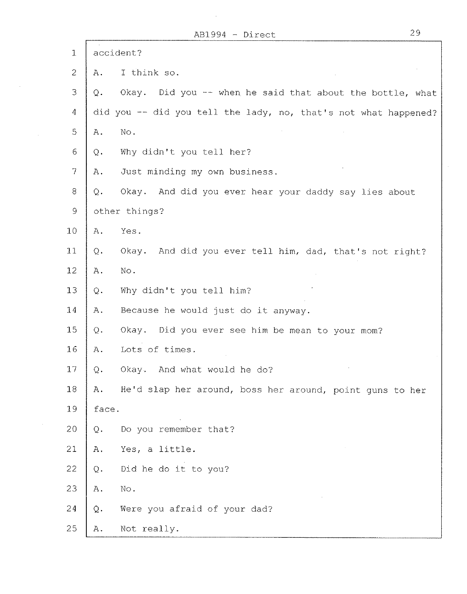$\sim 10^{-1}$ 

 $\sim 10^7$ 

 $\sim$   $\sim$ 

 $\mathcal{L}_{\text{max}}$ 

| 1              |               | accident?                                                       |
|----------------|---------------|-----------------------------------------------------------------|
| $\overline{c}$ | Α.            | I think so.                                                     |
| 3              | Q.            | Okay. Did you -- when he said that about the bottle, what       |
| 4              |               | did you -- did you tell the lady, no, that's not what happened? |
| 5              | Α.            | $\rm{No}$ .                                                     |
| $\epsilon$     | Q.            | Why didn't you tell her?                                        |
| $\overline{7}$ | Α.            | Just minding my own business.                                   |
| 8              | Q.            | Okay. And did you ever hear your daddy say lies about           |
| 9              |               | other things?                                                   |
| 10             | Α.            | Yes.                                                            |
| 11             | Q.            | And did you ever tell him, dad, that's not right?<br>Okay.      |
| 12             | Α.            | No.                                                             |
| 13             | $\mathbf Q$ . | Why didn't you tell him?                                        |
| 14             | Α.            | Because he would just do it anyway.                             |
| 15             | $Q$ .         | Okay. Did you ever see him be mean to your mom?                 |
| 16             | Α.            | Lots of times.                                                  |
| 17             | Q.            | Okay. And what would he do?                                     |
| 18             | Α.            | He'd slap her around, boss her around, point guns to her        |
| 19             | face.         |                                                                 |
| 20             | Q.            | Do you remember that?                                           |
| 21             | Α.            | Yes, a little.                                                  |
| 22             | Q.            | Did he do it to you?                                            |
| 23             | Α.            | No.                                                             |
| 24             | Q.            | Were you afraid of your dad?                                    |
| 25             | Α.            | Not really.                                                     |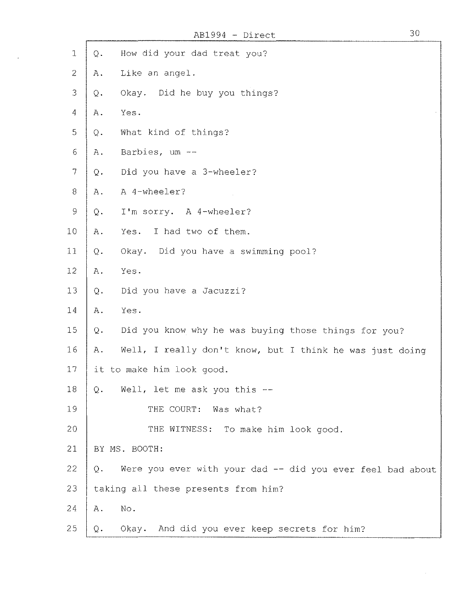$\bar{z}$ 

| $\mathbf{1}$             | How did your dad treat you?<br>Q.                                |
|--------------------------|------------------------------------------------------------------|
| $\overline{2}$           | Like an angel.<br>Α.                                             |
| 3                        | Okay. Did he buy you things?<br>$Q_{\bullet}$                    |
| 4                        | Yes.<br>Α.                                                       |
| 5                        | What kind of things?<br>Q.                                       |
| $\sqrt{6}$               | Barbies, um --<br>Α.                                             |
| $\overline{\mathcal{L}}$ | Did you have a 3-wheeler?<br>$Q$ .                               |
| $8\,$                    | A 4-wheeler?<br>Α.                                               |
| $\mathcal{G}$            | I'm sorry. A 4-wheeler?<br>Q.                                    |
| 10                       | I had two of them.<br>Yes.<br>A.                                 |
| 11                       | Okay. Did you have a swimming pool?<br>$\mathbf{Q}$ .            |
| 12                       | Yes.<br>Α.                                                       |
| 13                       | Did you have a Jacuzzi?<br>Q.                                    |
| 14                       | Yes.<br>Α.                                                       |
| 15                       | Did you know why he was buying those things for you?<br>Q.       |
| 16                       | Well, I really don't know, but I think he was just doing<br>Α.   |
| 17                       | it to make him look good.                                        |
| 18                       | $Q$ .<br>Well, let me ask you this --                            |
| 19                       | THE COURT: Was what?                                             |
| 20                       | THE WITNESS: To make him look good.                              |
| 21                       | BY MS. BOOTH:                                                    |
| 22                       | Were you ever with your dad -- did you ever feel bad about<br>Q. |
| 23                       | taking all these presents from him?                              |
| 24                       | No.<br>Α.                                                        |
| 25                       | Okay. And did you ever keep secrets for him?<br>Q.               |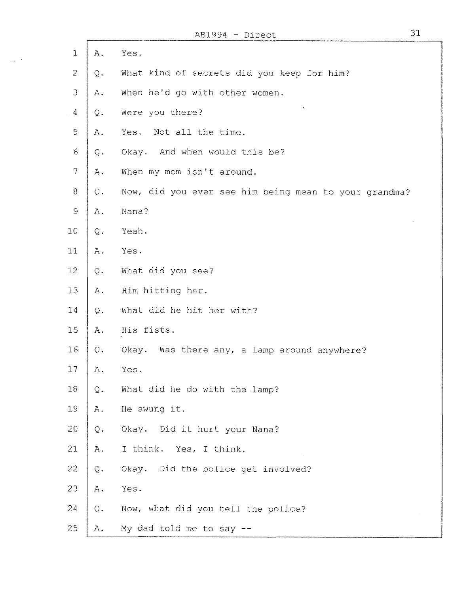$\overline{1}$ 

 $\sim 10^{-10}$ 

| $\mathbf{1}$   | Α.             | Yes.                                                  |
|----------------|----------------|-------------------------------------------------------|
| $\overline{c}$ | Q.             | What kind of secrets did you keep for him?            |
| 3              | ${\bf A}$ .    | When he'd go with other women.                        |
| $\overline{4}$ | $Q$ .          | Were you there?                                       |
| $\mathbb S$    | Α.             | Not all the time.<br>Yes.                             |
| 6              | $\mathsf{Q}$ . | And when would this be?<br>Okay.                      |
| $\overline{7}$ | Α.             | When my mom isn't around.                             |
| $8\,$          | $\mathrm{Q}$ . | Now, did you ever see him being mean to your grandma? |
| $\mathcal{O}$  | $A$ .          | Nana?                                                 |
| 10             | Q.             | Yeah.                                                 |
| 11             | A.             | Yes.                                                  |
| 12             | $Q$ .          | What did you see?                                     |
| 13             | Α.             | Him hitting her.                                      |
| 14             | $Q$ .          | What did he hit her with?                             |
| 15             | A.             | His fists.                                            |
| 16             | Q.             | Okay. Was there any, a lamp around anywhere?          |
| 17             | Α.             | Yes.                                                  |
| 18             | $\mathbf Q$ .  | What did he do with the lamp?                         |
| 19             | Α.             | He swung it.                                          |
| 20             | $Q$ .          | Okay. Did it hurt your Nana?                          |
| 21             | ${\bf A}$ .    | I think. Yes, I think.                                |
| 22             | Q.             | Okay. Did the police get involved?                    |
| 23             | $\mathtt{A}$ . | Yes.                                                  |
| 24             | $Q$ .          | Now, what did you tell the police?                    |
| 25             | Α.             | My dad told me to say $-$ -                           |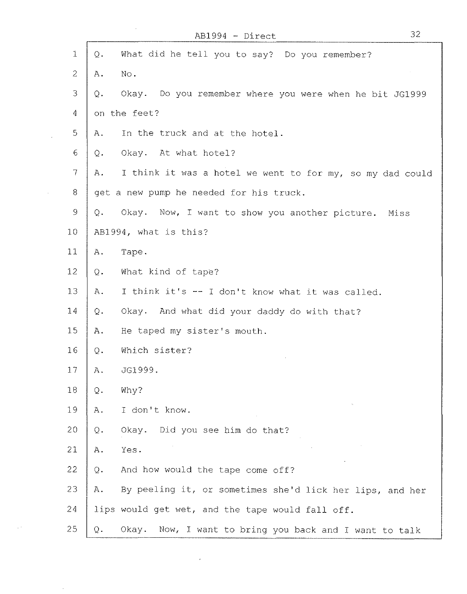|                |                | AB1994 - Direct                                           | 32 |
|----------------|----------------|-----------------------------------------------------------|----|
| $\mathbf{1}$   | Q.             | What did he tell you to say? Do you remember?             |    |
| $\overline{2}$ | A.             | No.                                                       |    |
| 3              | Q.             | Okay. Do you remember where you were when he bit JG1999   |    |
| 4              |                | on the feet?                                              |    |
| 5              | Α.             | In the truck and at the hotel.                            |    |
| 6              | Q.             | Okay. At what hotel?                                      |    |
| $\tau$         | Α.             | I think it was a hotel we went to for my, so my dad could |    |
| 8              |                | get a new pump he needed for his truck.                   |    |
| $\circ$        | $Q$ .          | Okay. Now, I want to show you another picture.<br>Miss    |    |
| 10             |                | AB1994, what is this?                                     |    |
| 11             | Α.             | Tape.                                                     |    |
| 12             | Q.             | What kind of tape?                                        |    |
| 13             | Α.             | I think it's -- I don't know what it was called.          |    |
| 14             | $\mathsf{Q}$ . | Okay. And what did your daddy do with that?               |    |
| 15             | Α.             | He taped my sister's mouth.                               |    |
| 16             | Q.             | Which sister?                                             |    |
| 17             | Α.             | JG1999.                                                   |    |
| 18             | $\mathbb Q$ .  | Why?                                                      |    |
| 19             | Α.             | I don't know.                                             |    |
| 20             | Q.             | Okay.<br>Did you see him do that?                         |    |
| 21             | Α.             | Yes.                                                      |    |
| 22             | $\mathbb Q$ .  | And how would the tape come off?                          |    |
| 23             | Α.             | By peeling it, or sometimes she'd lick her lips, and her  |    |
| 24             |                | lips would get wet, and the tape would fall off.          |    |
| 25             | Q.             | Now, I want to bring you back and I want to talk<br>Okay. |    |

 $\sim 10^7$ 

l,

 $\sim 10$ 

 $\mathbb{R}^3$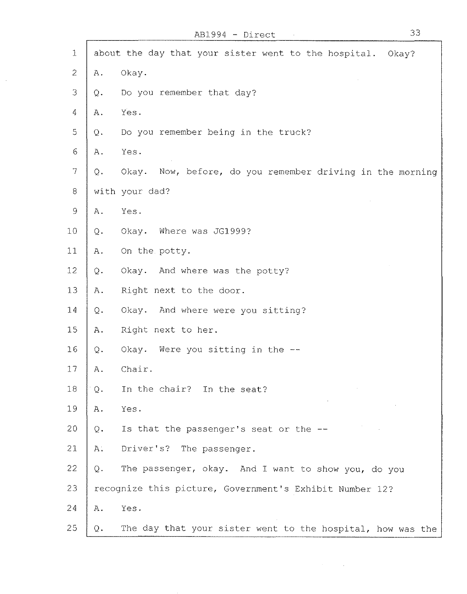| $\mathbf{1}$   |                | about the day that your sister went to the hospital.<br>$O$ kay? |
|----------------|----------------|------------------------------------------------------------------|
| 2              | Α.             | Okay.                                                            |
| 3              | $\mathbb{Q}$ . | Do you remember that day?                                        |
| 4              | A.             | Yes.                                                             |
| 5              | $Q$ .          | Do you remember being in the truck?                              |
| 6              | Α.             | Yes.                                                             |
| $\overline{7}$ | $\mathbb Q$ .  | Now, before, do you remember driving in the morning<br>Okay.     |
| $8\,$          |                | with your dad?                                                   |
| $\circ$        | Α.             | Yes.                                                             |
| 10             | $Q$ .          | Okay. Where was JG1999?                                          |
| 11             | Α.             | On the potty.                                                    |
| 12             | $\mathrm{Q}$ . | Okay. And where was the potty?                                   |
| 13             | $A$ .          | Right next to the door.                                          |
| 14             | $Q$ .          | Okay. And where were you sitting?                                |
| 15             | Α.             | Right next to her.                                               |
| 16             | Q.             | Okay. Were you sitting in the --                                 |
| 17             | Α.             | Chair.                                                           |
| 18             | $\mathbf Q$ .  | In the chair? In the seat?                                       |
| 19             | Α.             | Yes.                                                             |
| 20             | Q.             | Is that the passenger's seat or the --                           |
| 21             | Α.             | Driver's?<br>The passenger.                                      |
| 22             | $Q$ .          | The passenger, okay. And I want to show you, do you              |
| 23             |                | recognize this picture, Government's Exhibit Number 12?          |
| 24             | Α.             | Yes.                                                             |
| 25             | Q.             | The day that your sister went to the hospital, how was the       |

 $\mathcal{A}(\mathcal{A})$  and  $\mathcal{A}(\mathcal{A})$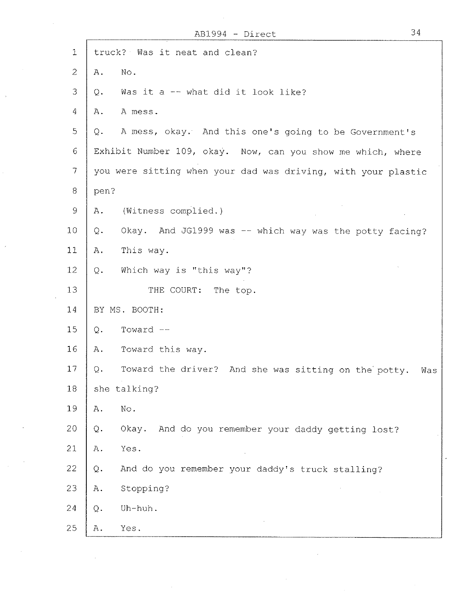|                   | AB1994 - Direct                                                    | 34  |
|-------------------|--------------------------------------------------------------------|-----|
| $\mathbf{1}$      | truck? Was it neat and clean?                                      |     |
| $\mathcal{Z}$     | No.<br>Α.                                                          |     |
| 3                 | Was it a -- what did it look like?<br>Q.                           |     |
| $\overline{4}$    | A mess.<br>Α.                                                      |     |
| $\mathbb{S}$      | A mess, okay. And this one's going to be Government's<br>Q.        |     |
| 6                 | Exhibit Number 109, okay. Now, can you show me which, where        |     |
| $\overline{\tau}$ | you were sitting when your dad was driving, with your plastic      |     |
| 8                 | pen?                                                               |     |
| $\mathcal{G}$     | (Witness complied.)<br>Α.                                          |     |
| 10                | Okay. And JG1999 was -- which way was the potty facing?<br>Q.      |     |
| 11                | This way.<br>$A$ .                                                 |     |
| 12                | Which way is "this way"?<br>Q.                                     |     |
| 13                | THE COURT: The top.                                                |     |
| 14                | BY MS. BOOTH:                                                      |     |
| 15                | Toward --<br>Q.                                                    |     |
| 16                | Toward this way.<br>Α.                                             |     |
| 17                | Toward the driver? And she was sitting on the potty.<br>$Q$ .      | Was |
| 18                | she talking?                                                       |     |
| 19                | $\mathop{\rm No}\nolimits$ .<br>Α.                                 |     |
| 20                | Okay.<br>And do you remember your daddy getting lost?<br>Q.        |     |
| 21                | Yes.<br>$A$ .                                                      |     |
| 22                | And do you remember your daddy's truck stalling?<br>$\mathsf{Q}$ . |     |
| 23                | Stopping?<br>Α.                                                    |     |
| 24                | Uh-huh.<br>$Q$ .                                                   |     |
| 25                | Yes.<br>Α.                                                         |     |

 $\bar{z}$ 

 $\mathcal{A}^{\mathcal{A}}$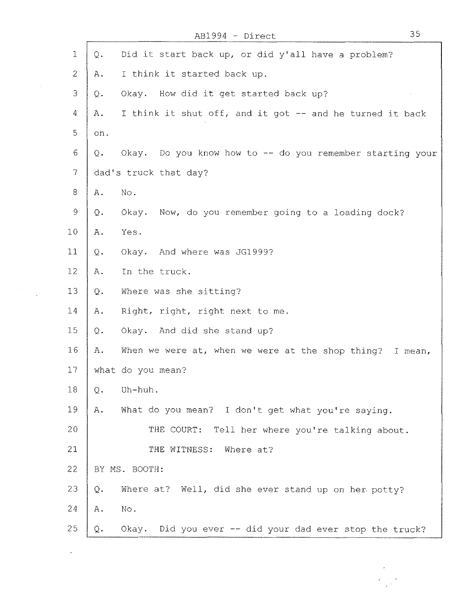AB1994 - Direct

| $\mathbf{1}$    | $Q$ .<br>Did it start back up, or did y'all have a problem?          |
|-----------------|----------------------------------------------------------------------|
| $\overline{2}$  | I think it started back up.<br>Α.                                    |
| $\mathfrak{Z}$  | How did it get started back up?<br>Okay.<br>Q.                       |
| $\overline{4}$  | I think it shut off, and it got -- and he turned it back<br>Α.       |
| 5               | on.                                                                  |
| 6               | Okay. Do you know how to -- do you remember starting your<br>Q.      |
| $\tau$          | dad's truck that day?                                                |
| 8               | No.<br>Α.                                                            |
| $\mathcal{G}$   | Okay. Now, do you remember going to a loading dock?<br>$\mathbf Q$ . |
| 10              | Yes.<br>Α.                                                           |
| 11              | Okay. And where was JG1999?<br>Q.                                    |
| 12.             | In the truck.<br>Α.                                                  |
| 13              | Where was she sitting?<br>$\Omega$ .                                 |
| 14              | Right, right, right next to me.<br>Α.                                |
| 15 <sub>1</sub> | Okay. And did she stand up?<br>Q.                                    |
| 16              | When we were at, when we were at the shop thing? I mean,<br>Α.       |
| 17              | what do you mean?                                                    |
| 18              | Uh-huh.<br>$Q$ .                                                     |
| 19              | What do you mean? I don't get what you're saying.<br>Α.              |
| 20              | THE COURT: Tell her where you're talking about.                      |
| 21              | THE WITNESS:<br>Where at?                                            |
| 22              | BY MS. BOOTH:                                                        |
| 23              | Where at? Well, did she ever stand up on her potty?<br>$Q$ .         |
| 24              | No.<br>Α.                                                            |
| 25              | Okay. Did you ever -- did your dad ever stop the truck?<br>Q.        |

 $\label{eq:2} \frac{1}{\sqrt{2}}\sum_{i=1}^n\frac{1}{\sqrt{2\pi}}\sum_{i=1}^n\frac{1}{\sqrt{2\pi}}\sum_{i=1}^n\frac{1}{\sqrt{2\pi}}\sum_{i=1}^n\frac{1}{\sqrt{2\pi}}\sum_{i=1}^n\frac{1}{\sqrt{2\pi}}\sum_{i=1}^n\frac{1}{\sqrt{2\pi}}\sum_{i=1}^n\frac{1}{\sqrt{2\pi}}\sum_{i=1}^n\frac{1}{\sqrt{2\pi}}\sum_{i=1}^n\frac{1}{\sqrt{2\pi}}\sum_{i=1}^n\frac{1}{$ 

 $\label{eq:2.1} \frac{1}{\sqrt{2\pi}}\int_{\mathbb{R}^3}\frac{1}{\sqrt{2\pi}}\left(\frac{1}{\sqrt{2\pi}}\right)^2\frac{1}{\sqrt{2\pi}}\int_{\mathbb{R}^3}\frac{1}{\sqrt{2\pi}}\frac{1}{\sqrt{2\pi}}\frac{1}{\sqrt{2\pi}}\frac{1}{\sqrt{2\pi}}\frac{1}{\sqrt{2\pi}}\frac{1}{\sqrt{2\pi}}\frac{1}{\sqrt{2\pi}}\frac{1}{\sqrt{2\pi}}\frac{1}{\sqrt{2\pi}}\frac{1}{\sqrt{2\pi}}\frac{1}{\sqrt{2\pi}}\frac{$ 

35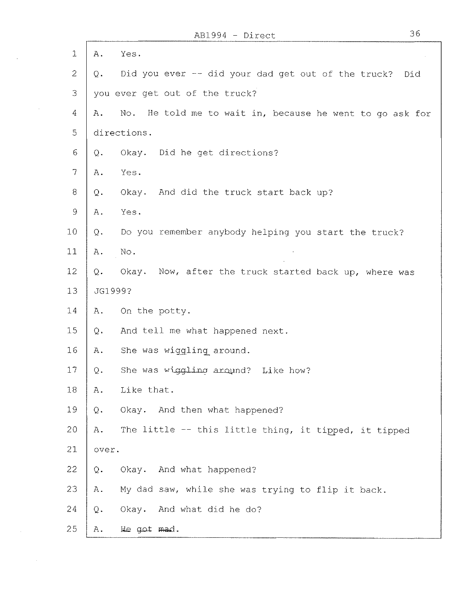ſ

 $\sim 10^7$ 

| $\mathbf{1}$  | Α.<br>Yes.                                                        |
|---------------|-------------------------------------------------------------------|
| 2             | Did you ever -- did your dad get out of the truck?<br>Did<br>Q.   |
| 3             | you ever get out of the truck?                                    |
| 4             | No.<br>He told me to wait in, because he went to go ask for<br>Α. |
| $\mathbb S$   | directions.                                                       |
| 6             | Did he get directions?<br>Okay.<br>Q.                             |
| 7             | Yes.<br>A.                                                        |
| 8             | Okay. And did the truck start back up?<br>Q.                      |
| $\mathcal{G}$ | Yes.<br>Α.                                                        |
| 10            | Do you remember anybody helping you start the truck?<br>$Q$ .     |
| 11            | No.<br>Α.                                                         |
| 12            | Q.<br>Okay. Now, after the truck started back up, where was       |
| 13            | JG1999?                                                           |
| 14            | On the potty.<br>Α.                                               |
| 15            | And tell me what happened next.<br>$Q$ .                          |
| 16            | She was wiggling around.<br>Α.                                    |
| 17            | She was wiggling around? Like how?<br>$Q$ .                       |
| 18            | $\mbox{\AA}$ .<br>Like that.                                      |
| 19            | Okay. And then what happened?<br>$\mathbb{Q}$ .                   |
| 20            | The little -- this little thing, it tipped, it tipped<br>$A$ .    |
| 21            | over.                                                             |
| 22            | Okay. And what happened?<br>$\Omega$ .                            |
| 23            | My dad saw, while she was trying to flip it back.<br>Α.           |
| 24            | Okay. And what did he do?<br>Q.                                   |
| 25            | He got mad.<br>Α.                                                 |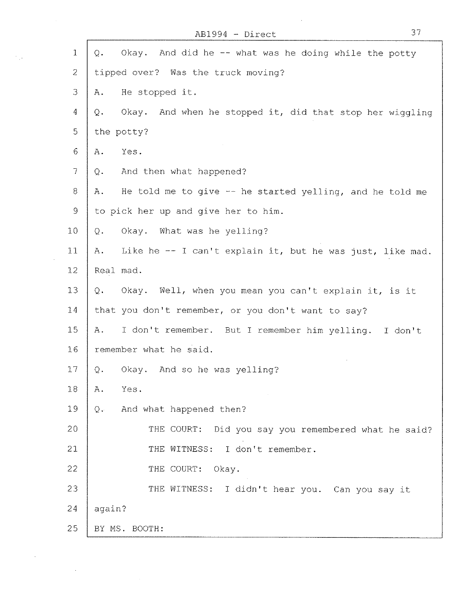| $\mathbf 1$   | Okay. And did he -- what was he doing while the potty<br>$Q$ .    |
|---------------|-------------------------------------------------------------------|
| $\mathcal{Z}$ | tipped over? Was the truck moving?                                |
| 3             | He stopped it.<br>Α.                                              |
| 4             | And when he stopped it, did that stop her wiggling<br>Okay.<br>Q. |
| 5             | the potty?                                                        |
| 6             | Yes.<br>$A$ .                                                     |
| $\mathcal{I}$ | And then what happened?<br>Q.                                     |
| 8             | He told me to give -- he started yelling, and he told me<br>Α.    |
| $\mathsf 9$   | to pick her up and give her to him.                               |
| 10            | Okay. What was he yelling?<br>Q.                                  |
| 11            | Like he -- I can't explain it, but he was just, like mad.<br>Α.   |
| 12            | Real mad.                                                         |
| 13            | Okay. Well, when you mean you can't explain it, is it<br>Q.       |
| 14            | that you don't remember, or you don't want to say?                |
| 15            | I don't remember. But I remember him yelling. I don't<br>Α.       |
| 16            | remember what he said.                                            |
| 17            | Okay. And so he was yelling?<br>$Q$ .                             |
| 18            | Α.<br>Yes.                                                        |
| 19            | And what happened then?<br>Q.                                     |
| 20            | THE COURT: Did you say you remembered what he said?               |
| 21            | THE WITNESS: I don't remember.                                    |
| 22            | THE COURT: Okay.                                                  |
| 23            | THE WITNESS: I didn't hear you. Can you say it                    |
| 24            | again?                                                            |
| 25            | BY MS. BOOTH:                                                     |

 $\gamma_{\rm{12}}$ 

AB1994 - Direct 37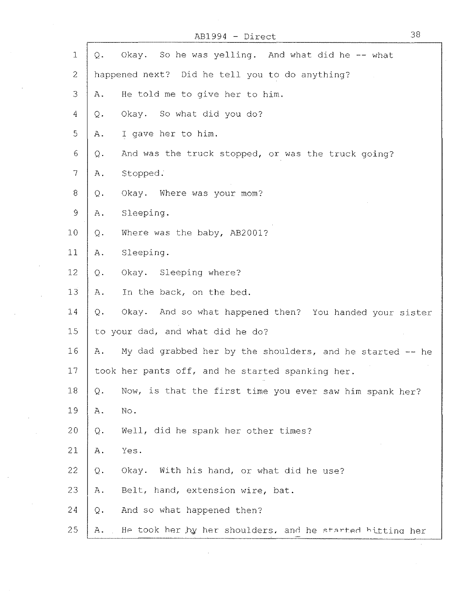AB1994 - Direct

 $\mathcal{A}$ 

 $\bar{z}$ 

 $\ddot{\phantom{a}}$ 

 $\sim$ 

| $\mathbf{1}$    | Q.            | Okay. So he was yelling. And what did he -- what          |
|-----------------|---------------|-----------------------------------------------------------|
| $\mathbf{2}$    |               | happened next? Did he tell you to do anything?            |
| 3               | Α.            | He told me to give her to him.                            |
| $\overline{4}$  | Q.            | Okay. So what did you do?                                 |
| 5               | Α.            | I gave her to him.                                        |
| 6               | Q.            | And was the truck stopped, or was the truck going?        |
| $7\phantom{.}$  | Α.            | Stopped.                                                  |
| 8 <sup>8</sup>  | Q.            | Okay. Where was your mom?                                 |
| $\mathcal{G}$   | Α.            | Sleeping.                                                 |
| 10              | Q.            | Where was the baby, AB2001?                               |
| 11              | A.            | Sleeping.                                                 |
| 12              | Q.            | Okay. Sleeping where?                                     |
| 13              | Α.            | In the back, on the bed.                                  |
| 14              | Q.            | Okay. And so what happened then? You handed your sister   |
| 15 <sub>1</sub> |               | to your dad, and what did he do?                          |
| 16              | Α.            | My dad grabbed her by the shoulders, and he started -- he |
| 17              |               | took her pants off, and he started spanking her.          |
| 18              | $\mathbf Q$ . | Now, is that the first time you ever saw him spank her?   |
| 19              | Α.            | No.                                                       |
| 20              | Q.            | Well, did he spank her other times?                       |
| 21              | Α.            | Yes.                                                      |
| 22              | Q.            | Okay.<br>With his hand, or what did he use?               |
| 23              | Α.            | Belt, hand, extension wire, bat.                          |
| 24              | $\mathbb Q$ . | And so what happened then?                                |
| 25              | Α.            | He took her by her shoulders, and he started bitting her  |

 $\sim 10^{11}$ 

38

 $\hat{\boldsymbol{\beta}}$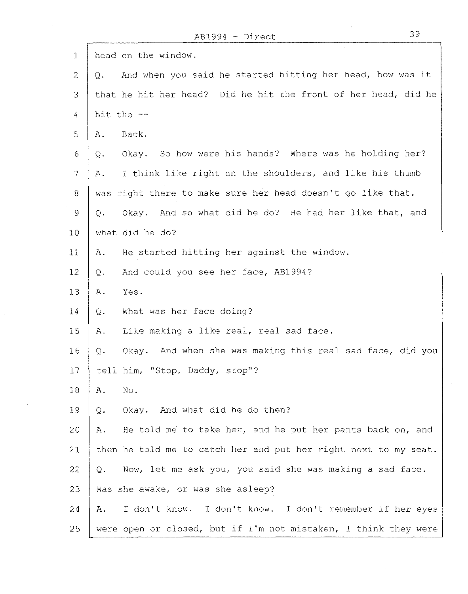| 1               | head on the window.                                                |
|-----------------|--------------------------------------------------------------------|
| $\mathbf{2}$    | And when you said he started hitting her head, how was it<br>$Q$ . |
| 3               | that he hit her head? Did he hit the front of her head, did he     |
| 4               | hit the --                                                         |
| 5               | Back.<br>Α.                                                        |
| 6               | So how were his hands? Where was he holding her?<br>Okay.<br>Q.    |
| $\overline{7}$  | I think like right on the shoulders, and like his thumb<br>Α.      |
| 8               | was right there to make sure her head doesn't go like that.        |
| 9               | Okay. And so what did he do? He had her like that, and<br>Q.       |
| 10 <sub>1</sub> | what did he do?                                                    |
| 11              | He started hitting her against the window.<br>Α.                   |
| 12              | And could you see her face, AB1994?<br>$Q$ .                       |
| 13              | Yes.<br>$A$ .                                                      |
| 14              | What was her face doing?<br>$Q$ .                                  |
| 15              | Like making a like real, real sad face.<br>Α.                      |
| 16              | Okay. And when she was making this real sad face, did you<br>Q.    |
| 17              | tell him, "Stop, Daddy, stop"?                                     |
| 18              | No.<br>Α.                                                          |
| 19              | Okay. And what did he do then?<br>Q.                               |
| 20              | He told me to take her, and he put her pants back on, and<br>Α.    |
| 21              | then he told me to catch her and put her right next to my seat.    |
| 22              | Now, let me ask you, you said she was making a sad face.<br>Q.     |
| 23              | Was she awake, or was she asleep?                                  |
| 24              | I don't know.<br>I don't know. I don't remember if her eyes<br>Α.  |
| 25              | were open or closed, but if I'm not mistaken, I think they were    |

 $\hat{\mathcal{A}}$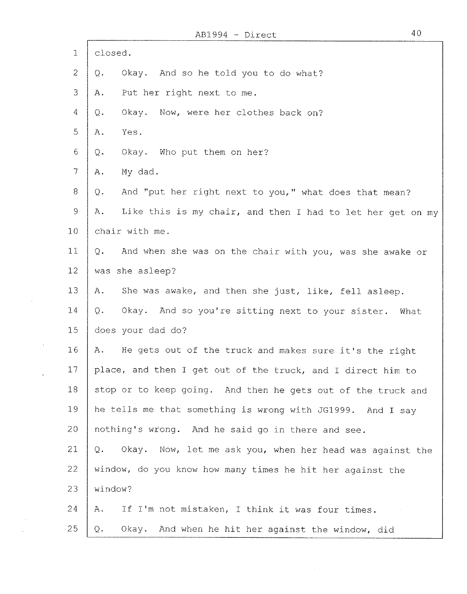$\mathbf{r}$ 

 $\sim$ 

 $\sim$ 

 $\sim 10^7$ 

 $\sim 10^{-10}$ 

 $\sim$  $\sim$   $\sim$ 

| $\mathbf 1$     | closed.                                                                 |
|-----------------|-------------------------------------------------------------------------|
| $\overline{2}$  | Okay. And so he told you to do what?<br>Q.                              |
| 3               | Put her right next to me.<br>Α.                                         |
| 4               | Now, were her clothes back on?<br>Okay.<br>Q.                           |
| 5               | Yes.<br>Α.                                                              |
| 6               | Okay. Who put them on her?<br>Q.                                        |
| $\tau$          | My dad.<br>Α.                                                           |
| 8               | And "put her right next to you," what does that mean?<br>Q.             |
| 9               | Like this is my chair, and then I had to let her get on my<br>Α.        |
| 10              | chair with me.                                                          |
| 11              | And when she was on the chair with you, was she awake or<br>$Q_{\star}$ |
| 12 <sub>2</sub> | was she asleep?                                                         |
| 13              | She was awake, and then she just, like, fell asleep.<br>Α.              |
| 14              | Okay. And so you're sitting next to your sister.<br>Q.<br>What          |
| 15              | does your dad do?                                                       |
| 16              | A. He gets out of the truck and makes sure it's the right               |
| 17              | place, and then I get out of the truck, and I direct him to             |
| 18              | stop or to keep going. And then he gets out of the truck and            |
| 19              | he tells me that something is wrong with JG1999. And I say              |
| 20              | nothing's wrong. And he said go in there and see.                       |
| 21              | Okay. Now, let me ask you, when her head was against the<br>Q.          |
| 22              | window, do you know how many times he hit her against the               |
| 23              | window?                                                                 |
| 24              | If I'm not mistaken, I think it was four times.<br>Α.                   |
| 25              | Okay. And when he hit her against the window, did<br>Q.                 |

 $\sim 10^{-1}$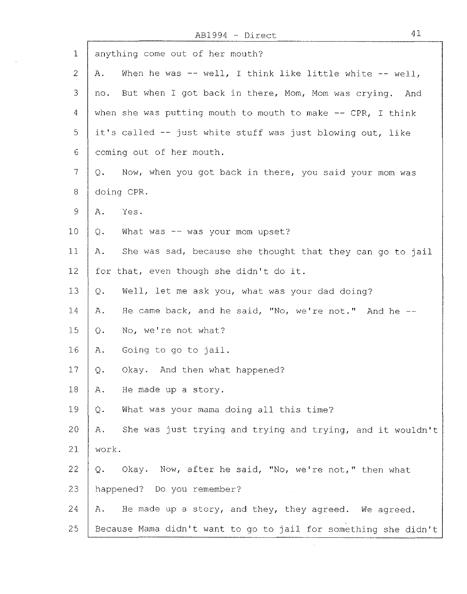$\mathbf{r}$ 

| $\mathbf{1}$        | anything come out of her mouth?                                  |
|---------------------|------------------------------------------------------------------|
| $\mathbf{2}$        | When he was -- well, I think like little white -- well,<br>Α.    |
| 3                   | But when I got back in there, Mom, Mom was crying. And<br>no.    |
| $\overline{4}$      | when she was putting mouth to mouth to make $--$ CPR, I think    |
| 5                   | it's called -- just white stuff was just blowing out, like       |
| 6                   | coming out of her mouth.                                         |
| $\tau$              | Now, when you got back in there, you said your mom was<br>Q.     |
| 8                   | doing CPR.                                                       |
| $\mathcal{G}% _{0}$ | Yes.<br>Α.                                                       |
| 10                  | What was -- was your mom upset?<br>$Q$ .                         |
| 11                  | She was sad, because she thought that they can go to jail<br>Α.  |
| 12                  | for that, even though she didn't do it.                          |
| 13                  | Well, let me ask you, what was your dad doing?<br>Q.             |
|                     |                                                                  |
| 14                  | He came back, and he said, "No, we're not." And he --<br>Α.      |
| 15                  | No, we're not what?<br>Q.                                        |
| 16 <sup>°</sup>     | Going to go to jail.<br>Α.                                       |
| 17 <sub>2</sub>     | Okay. And then what happened?<br>$\mathsf{Q}$ .                  |
| 18                  | He made up a story.<br>Α.                                        |
| 19                  | What was your mama doing all this time?<br>Q.                    |
| 20                  | She was just trying and trying and trying, and it wouldn't<br>Α. |
| 21                  | work.                                                            |
| 22                  | Q. Okay. Now, after he said, "No, we're not," then what          |
| 23                  | happened? Do you remember?                                       |
| 24                  | He made up a story, and they, they agreed. We agreed.<br>Α.      |
| 25                  | Because Mama didn't want to go to jail for something she didn't  |

 $\mathcal{A}^{\mathcal{A}}$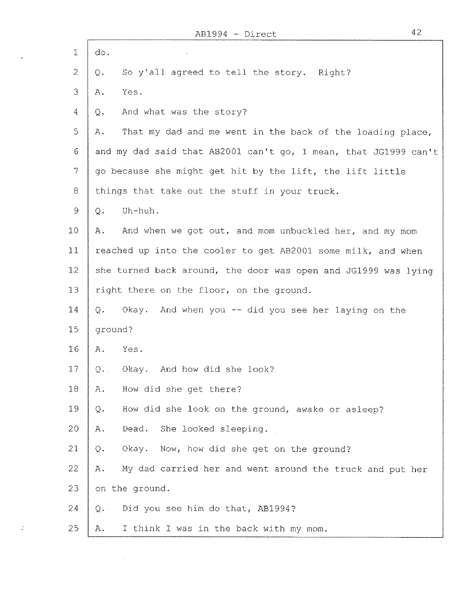÷.

 $\sim 12$ 

 $\sim 10^{-10}$ 

÷.

| $\mathbf{1}$     | do.                                                             |
|------------------|-----------------------------------------------------------------|
| $\overline{2}$   | So y'all agreed to tell the story. Right?<br>Q.                 |
| 3                | Yes.<br>Α.                                                      |
| $\overline{4}$   | And what was the story?<br>Q.                                   |
| 5                | That my dad and me went in the back of the loading place,<br>Α. |
| 6                | and my dad said that AB2001 can't go, I mean, that JG1999 can't |
| 7                | go because she might get hit by the lift, the lift little       |
| $\boldsymbol{8}$ | things that take out the stuff in your truck.                   |
| $\mathcal{G}$    | Uh-huh.<br>$Q$ .                                                |
| 10 <sub>1</sub>  | And when we got out, and mom unbuckled her, and my mom<br>Α.    |
| 11               | reached up into the cooler to get AB2001 some milk, and when    |
| 12               | she turned back around, the door was open and JG1999 was lying  |
| 13               | right there on the floor, on the ground.                        |
| 14               | Q. Okay. And when you -- did you see her laying on the          |
| 15               | ground?                                                         |
| 16               | Yes.<br>Α.                                                      |
| 17               | Okay. And how did she look?<br>Q.                               |
| 18               | How did she get there?<br>Α.                                    |
| 19               | How did she look on the ground, awake or asleep?<br>Q.          |
| 20               | Dead. She looked sleeping.<br>Α.                                |
| 21               | Now, how did she get on the ground?<br>Okay.<br>$Q$ .           |
| 22               | My dad carried her and went around the truck and put her<br>Α.  |
| 23               | on the ground.                                                  |
| 24               | Did you see him do that, AB1994?<br>$Q$ .                       |
| 25               | I think I was in the back with my mom.<br>Α.                    |

 $\mathcal{L}^{\text{max}}_{\text{max}}$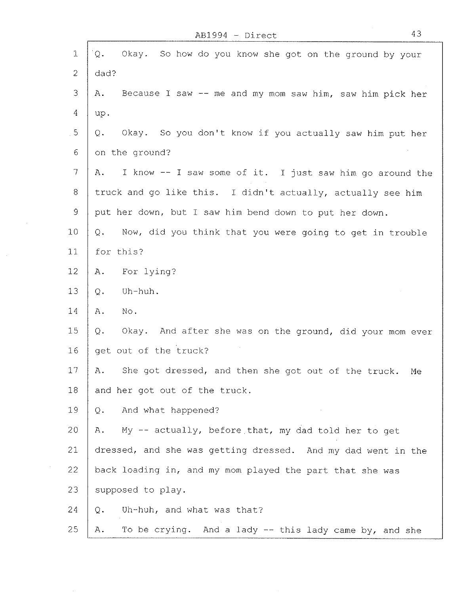$\mathbf{f}$ 

 $\bar{z}$ 

| 1               | Okay. So how do you know she got on the ground by your<br>Q.      |
|-----------------|-------------------------------------------------------------------|
| $\overline{c}$  | dad?                                                              |
| 3               | Because I saw -- me and my mom saw him, saw him pick her<br>Α.    |
| $\overline{4}$  | up.                                                               |
| 5               | Okay. So you don't know if you actually saw him put her<br>Q.     |
| 6               | on the ground?                                                    |
| 7               | I know -- I saw some of it. I just saw him go around the<br>Α.    |
| 8               | truck and go like this. I didn't actually, actually see him       |
| $\mathsf{Q}$    | put her down, but I saw him bend down to put her down.            |
| 10              | Now, did you think that you were going to get in trouble<br>$Q$ . |
| 11              | for this?                                                         |
| 12 <sub>1</sub> | For lying?<br>$A$ .                                               |
| 13              | Uh-huh.<br>Q.                                                     |
| 14              | No.<br>Α.                                                         |
| 15              | Okay. And after she was on the ground, did your mom ever<br>Q.    |
| 16              | get out of the truck?                                             |
| 17              | She got dressed, and then she got out of the truck.<br>Α.<br>Me   |
| 18              | and her got out of the truck.                                     |
| 19              | And what happened?<br>Q.                                          |
| 20              | My -- actually, before that, my dad told her to get<br>Α.         |
| 21              | dressed, and she was getting dressed. And my dad went in the      |
| 22              | back loading in, and my mom played the part that she was          |
| 23              | supposed to play.                                                 |
| 24              | Uh-huh, and what was that?<br>Q.                                  |
| 25              | To be crying. And a lady -- this lady came by, and she<br>Α.      |

 $\bar{\alpha}$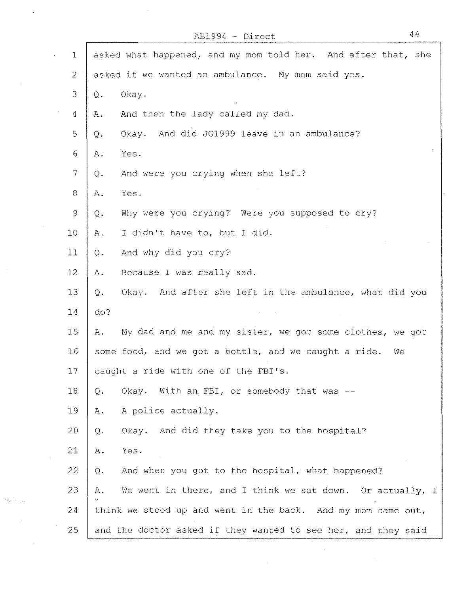|                | $AB1994 - Direct$                                               | 44 |
|----------------|-----------------------------------------------------------------|----|
| $\mathbf{1}$   | asked what happened, and my mom told her. And after that, she   |    |
| $\overline{2}$ | asked if we wanted an ambulance. My mom said yes.               |    |
| 3              | Okay.<br>Q.                                                     |    |
| 4              | And then the lady called my dad.<br>Α.                          |    |
| 5              | And did JG1999 leave in an ambulance?<br>Okay.<br>Q.            |    |
| $\epsilon$     | Yes.<br>Α.                                                      |    |
| $\overline{7}$ | And were you crying when she left?<br>Q.                        |    |
| 8              | Yes.<br>Α.                                                      |    |
| $\mathfrak{g}$ | Why were you crying? Were you supposed to cry?<br>Q.            |    |
| 10             | I didn't have to, but I did.<br>Α.                              |    |
| 11             | And why did you cry?<br>$\mathbf{Q}$ .                          |    |
| 12             | Because I was really sad.<br>Α.                                 |    |
| 13             | Okay. And after she left in the ambulance, what did you<br>Q.   |    |
| 14             | do?                                                             |    |
| 15             | My dad and me and my sister, we got some clothes, we got<br>Α.  |    |
| 16             | some food, and we got a bottle, and we caught a ride.<br>We     |    |
| 17             | caught a ride with one of the FBI's.                            |    |
| 18             | Okay. With an FBI, or somebody that was --<br>Q.                |    |
| 19             | A police actually.<br>$A$ .                                     |    |
| 20             | Okay. And did they take you to the hospital?<br>Q.              |    |
| 21             | Yes.<br>Α.                                                      |    |
| 22             | And when you got to the hospital, what happened?<br>Q.          |    |
| 23             | We went in there, and I think we sat down. Or actually, I<br>Α. |    |
| 24             | think we stood up and went in the back. And my mom came out,    |    |
| 25             | and the doctor asked if they wanted to see her, and they said   |    |

 $\mathcal{L}^{\text{max}}_{\text{max}}$ 

 $\mathcal{A}^{\mathcal{A}}$ 

 $\hat{\beta}$ 

 $\bar{z}$ 

 $\sim$ 

 $\ddot{\phantom{1}}$ 

 $\sim 10$ 

 $\mathcal{A}_{\mathbf{b}_1\mathbf{a}_2\cdots\mathbf{b}_{\mathbf{b}_{\mathbf{a}_i},\mathbf{a}_i}}$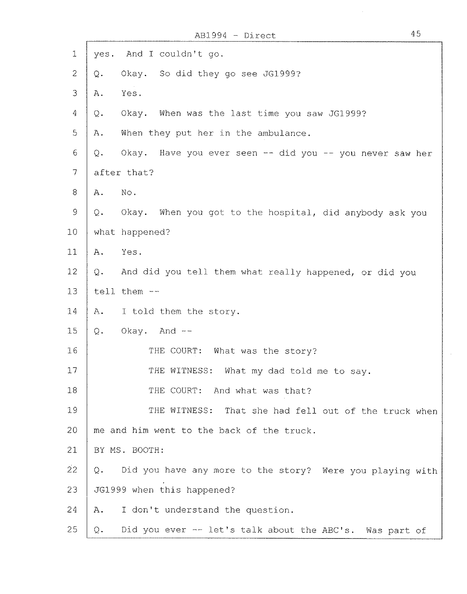| 1               | yes. And I couldn't go.                                           |
|-----------------|-------------------------------------------------------------------|
| $\overline{2}$  | Okay. So did they go see JG1999?<br>$\mathbf Q$ .                 |
| 3               | Yes.<br>Α.                                                        |
| $\overline{4}$  | When was the last time you saw JG1999?<br>Okay.<br>Q.             |
| 5               | When they put her in the ambulance.<br>Α.                         |
| $\epsilon$      | Okay. Have you ever seen -- did you -- you never saw her<br>$Q$ . |
| $\gamma$        | after that?                                                       |
| 8               | No.<br>Α.                                                         |
| $\mathsf{S}$    | Okay. When you got to the hospital, did anybody ask you<br>Q.     |
| 10              | what happened?                                                    |
| 11              | Yes.<br>Α.                                                        |
| 12 <sub>2</sub> | And did you tell them what really happened, or did you<br>$Q$ .   |
| 13              | tell them --                                                      |
| 14              | I told them the story.<br>$A$ .                                   |
| 15              | Okay. And --<br>$Q$ .                                             |
| 16              | THE COURT: What was the story?                                    |
| 17              | THE WITNESS: What my dad told me to say.                          |
| 18              | THE COURT: And what was that?                                     |
| 19              | THE WITNESS: That she had fell out of the truck when              |
| 20              | me and him went to the back of the truck.                         |
| 21              | BY MS. BOOTH:                                                     |
| $\overline{2}2$ | Did you have any more to the story? Were you playing with<br>Q.   |
| 23              | JG1999 when this happened?                                        |
| 24              | I don't understand the question.<br>Α.                            |
| 25              | Did you ever -- let's talk about the ABC's. Was part of<br>Q.     |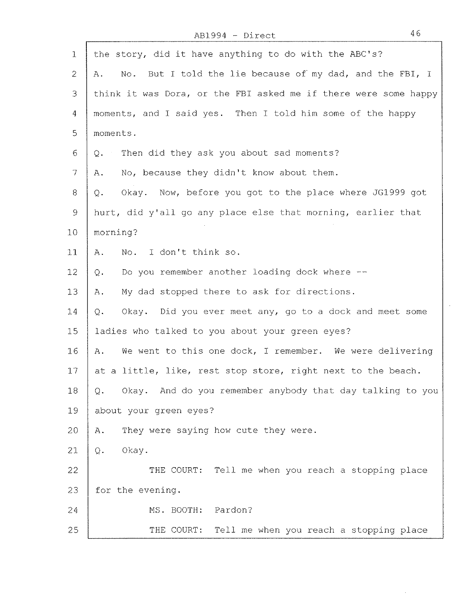## AB1994 - Direct 46

p

| $\mathbf{1}$    | the story, did it have anything to do with the ABC's?              |
|-----------------|--------------------------------------------------------------------|
| $\mathbf{2}$    | No. But I told the lie because of my dad, and the FBI, I<br>Α.     |
| 3               | think it was Dora, or the FBI asked me if there were some happy    |
| $\overline{4}$  | moments, and I said yes. Then I told him some of the happy         |
| 5               | moments.                                                           |
| 6               | Q. Then did they ask you about sad moments?                        |
| $\tau$          | No, because they didn't know about them.<br>Α.                     |
| 8               | Okay. Now, before you got to the place where JG1999 got<br>Q.      |
| $\circ$         | hurt, did y'all go any place else that morning, earlier that       |
| 10              | morning?                                                           |
| 11              | No. I don't think so.<br>Α.                                        |
| 12 <sub>1</sub> | Do you remember another loading dock where --<br>Q.                |
| 13              | My dad stopped there to ask for directions.<br>Α.                  |
| 14              | Okay. Did you ever meet any, go to a dock and meet some<br>Q.      |
| 15              | ladies who talked to you about your green eyes?                    |
| 16              | We went to this one dock, I remember. We were delivering<br>A.     |
| 17              | at a little, like, rest stop store, right next to the beach.       |
| 18              | Okay. And do you remember anybody that day talking to you<br>$Q$ . |
| 19              | about your green eyes?                                             |
| 20              | They were saying how cute they were.<br>Α.                         |
| 21              | Okay.<br>Q.                                                        |
| 22              | THE COURT: Tell me when you reach a stopping place                 |
| 23              | for the evening.                                                   |
| 24              | MS. BOOTH:<br>Pardon?                                              |
| 25              | THE COURT: Tell me when you reach a stopping place                 |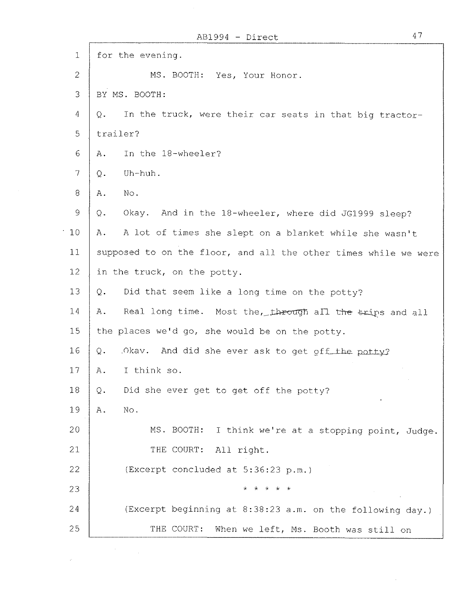$\mathcal{A}^{\mathcal{A}}$ 

 $\label{eq:2.1} \frac{1}{\sqrt{2}}\left(\frac{1}{\sqrt{2}}\right)^{2} \left(\frac{1}{\sqrt{2}}\right)^{2} \left(\frac{1}{\sqrt{2}}\right)^{2} \left(\frac{1}{\sqrt{2}}\right)^{2} \left(\frac{1}{\sqrt{2}}\right)^{2} \left(\frac{1}{\sqrt{2}}\right)^{2} \left(\frac{1}{\sqrt{2}}\right)^{2} \left(\frac{1}{\sqrt{2}}\right)^{2} \left(\frac{1}{\sqrt{2}}\right)^{2} \left(\frac{1}{\sqrt{2}}\right)^{2} \left(\frac{1}{\sqrt{2}}\right)^{2} \left(\$ 

| 1  | for the evening.                                                |
|----|-----------------------------------------------------------------|
| 2  | MS. BOOTH: Yes, Your Honor.                                     |
| 3  | BY MS. BOOTH:                                                   |
| 4  | In the truck, were their car seats in that big tractor-<br>Q.   |
| 5  | trailer?                                                        |
| 6  | In the 18-wheeler?<br>Α.                                        |
| 7  | Uh-huh.<br>Q.                                                   |
| 8  | No.<br>Α.                                                       |
| 9  | Okay. And in the 18-wheeler, where did JG1999 sleep?<br>Q.      |
| 10 | A lot of times she slept on a blanket while she wasn't<br>Α.    |
| 11 | supposed to on the floor, and all the other times while we were |
| 12 | in the truck, on the potty.                                     |
| 13 | Did that seem like a long time on the potty?<br>Q.              |
| 14 | Real long time. Most the, through all the trips and all<br>А.   |
| 15 | the places we'd go, she would be on the potty.                  |
| 16 | And did she ever ask to get off the potty?<br>Q.<br>Okay.       |
| 17 | I think so.<br>Α.                                               |
| 18 | Did she ever get to get off the potty?<br>Q.                    |
| 19 | No.<br>Α.                                                       |
| 20 | MS. BOOTH:<br>I think we're at a stopping point, Judge.         |
| 21 | THE COURT:<br>All right.                                        |
| 22 | (Excerpt concluded at 5:36:23 p.m.)                             |
| 23 | * * * * *                                                       |
| 24 | (Excerpt beginning at 8:38:23 a.m. on the following day.)       |
| 25 | THE COURT:<br>When we left, Ms. Booth was still on              |

 $\sim 0.01$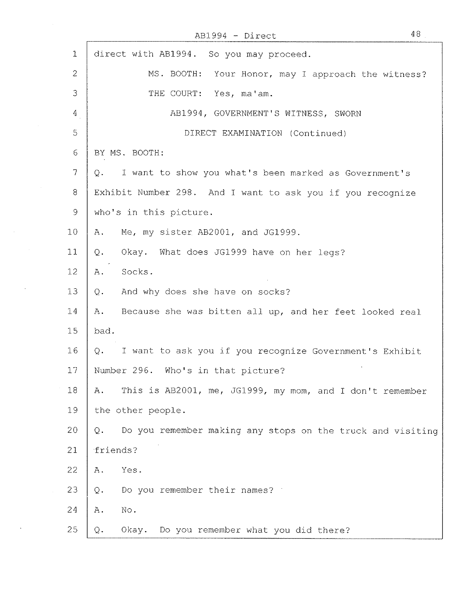AB1994 - Direct 48

 $\sim$ 

 $\sim 10$ 

 $\sim$ 

 $\sim$ 

 $\bar{\lambda}$ 

| $\mathbf 1$      | direct with AB1994. So you may proceed.                                      |
|------------------|------------------------------------------------------------------------------|
| $\overline{2}$   | MS. BOOTH: Your Honor, may I approach the witness?                           |
| 3                | THE COURT: Yes, ma'am.                                                       |
| 4                | AB1994, GOVERNMENT'S WITNESS, SWORN                                          |
| 5                | DIRECT EXAMINATION (Continued)                                               |
| 6                | BY MS. BOOTH:                                                                |
| $\boldsymbol{7}$ | I want to show you what's been marked as Government's<br>$\mathbf{\Omega}$ . |
| $8\,$            | Exhibit Number 298. And I want to ask you if you recognize                   |
| 9                | who's in this picture.                                                       |
| 10               | Me, my sister AB2001, and JG1999.<br>Α.                                      |
| 11               | Okay. What does JG1999 have on her legs?<br>Q.                               |
| 12               | Socks.<br>Α.                                                                 |
| 13               | And why does she have on socks?<br>Q.                                        |
| 14               | Because she was bitten all up, and her feet looked real<br>Α.                |
| 15               | bad.                                                                         |
| 16               | Q. I want to ask you if you recognize Government's Exhibit                   |
| 17               | Number 296. Who's in that picture?                                           |
| 18               | This is AB2001, me, JG1999, my mom, and I don't remember<br>Α.               |
| 19               | the other people.                                                            |
| 20               | Do you remember making any stops on the truck and visiting<br>Q.             |
| 21               | friends?                                                                     |
| 22               | Yes.<br>Α.                                                                   |
| 23               | Do you remember their names?<br>$Q$ .                                        |
| 24               | No.<br>Α.                                                                    |
| 25               | Do you remember what you did there?<br>$Q$ .<br>Okay.                        |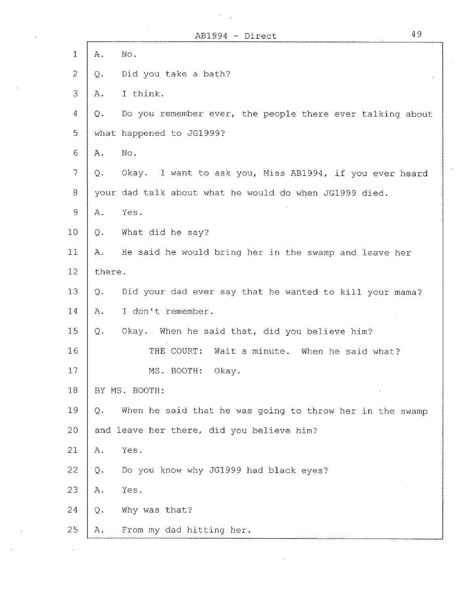$\mathcal{O}(\mathcal{A})$ 

 $\hat{\boldsymbol{\theta}}$ 

 $\sim$ 

 $\sim$ 

| $\mathbf{1}$    | No.<br>Α.                                                       |
|-----------------|-----------------------------------------------------------------|
| $\overline{2}$  | Did you take a bath?<br>Q.                                      |
| 3               | I think.<br>Α.                                                  |
| $\overline{4}$  | Do you remember ever, the people there ever talking about<br>Q. |
| 5               | what happened to JG1999?                                        |
| $\sigma$        | No.<br>Α.                                                       |
| $7\,$           | Okay. I want to ask you, Miss AB1994, if you ever heard<br>Q.   |
| 8               | your dad talk about what he would do when JG1999 died.          |
| $\mathsf{9}$    | Yes.<br>Α.                                                      |
| 10 <sub>1</sub> | What did he say?<br>Q.                                          |
| 11              | He said he would bring her in the swamp and leave her<br>Α.     |
| 12              | there.                                                          |
| 13              | Did your dad ever say that he wanted to kill your mama?<br>Q.   |
| 14              | I don't remember.<br>Α.                                         |
| 15              | Okay. When he said that, did you believe him?<br>$Q$ .          |
| 16              | THE COURT:<br>Wait a minute. When he said what?                 |
| 17              | MS. BOOTH:<br>Okay.                                             |
| 18              | BY MS. BOOTH:                                                   |
| 19              | When he said that he was going to throw her in the swamp<br>Q.  |
| 20              | and leave her there, did you believe him?                       |
| 21              | Yes.<br>Α.                                                      |
| 22              | Do you know why JG1999 had black eyes?<br>$Q$ .                 |
| 23              | Yes.<br>Α.                                                      |
| 24              | Why was that?<br>$Q$ .                                          |
| 25              | From my dad hitting her.<br>Α.                                  |

 $\sim 10^{-1}$ 

49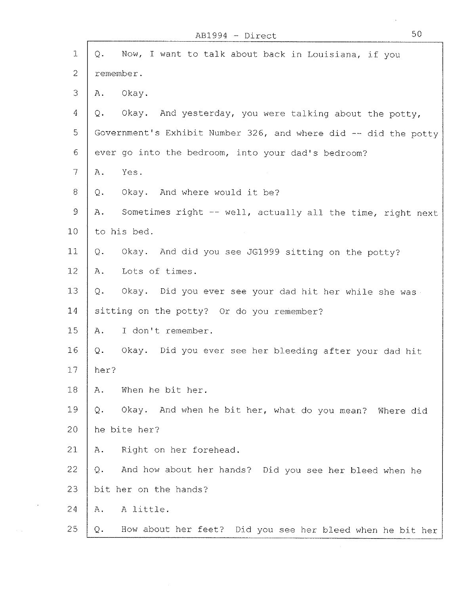| $\mathbf{1}$    | Q.    | Now, I want to talk about back in Louisiana, if you             |
|-----------------|-------|-----------------------------------------------------------------|
| $\overline{2}$  |       | remember.                                                       |
| 3               | Α.    | Okay.                                                           |
| 4               | Q.    | Okay. And yesterday, you were talking about the potty,          |
| 5               |       | Government's Exhibit Number 326, and where did -- did the potty |
| 6               |       | ever go into the bedroom, into your dad's bedroom?              |
| 7               | Α.    | Yes.                                                            |
| 8               | $Q -$ | Okay. And where would it be?                                    |
| 9               | Α.    | Sometimes right -- well, actually all the time, right next      |
| 10 <sub>1</sub> |       | to his bed.                                                     |
| 11              | Q.    | Okay. And did you see JG1999 sitting on the potty?              |
| 12              | Α.    | Lots of times.                                                  |
| 13              | Q.    | Okay. Did you ever see your dad hit her while she was           |
| 14              |       | sitting on the potty? Or do you remember?                       |
| 15              | Α.    | I don't remember.                                               |
| 16              | Q.    | Okay. Did you ever see her bleeding after your dad hit          |
| 17              | her?  |                                                                 |
| 18              | Α.    | When he bit her.                                                |
| 19              | Q.    | Okay. And when he bit her, what do you mean? Where did          |
| 20              |       | he bite her?                                                    |
| 21              | Α.    | Right on her forehead.                                          |
| 22              | Q.    | And how about her hands? Did you see her bleed when he          |
| 23              |       | bit her on the hands?                                           |
| 24              | Α.    | A little.                                                       |
| 25              | Q.    | How about her feet? Did you see her bleed when he bit her       |

 $\sim$ 

 $\tau = \tau$ 

l,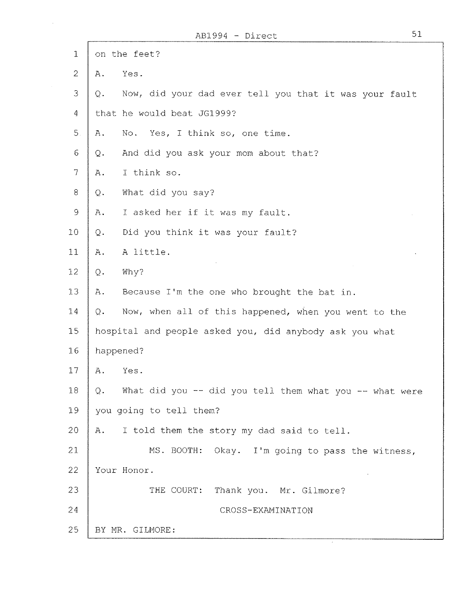$\sim$   $\sim$ 

| $\mathbf 1$     | on the feet?                                                             |
|-----------------|--------------------------------------------------------------------------|
| $\overline{2}$  | Α.<br>Yes.                                                               |
| 3               | Now, did your dad ever tell you that it was your fault<br>Q.             |
| $\overline{4}$  | that he would beat JG1999?                                               |
| 5.              | Yes, I think so, one time.<br>Α.<br>No.                                  |
| 6               | And did you ask your mom about that?<br>$Q$ .                            |
| 7               | I think so.<br>Α.                                                        |
| $8\,$           | What did you say?<br>Q.                                                  |
| $\mathcal{G}$   | I asked her if it was my fault.<br>Α.                                    |
| 10 <sub>1</sub> | Did you think it was your fault?<br>$Q$ .                                |
| 11              | A little.<br>Α.                                                          |
| 12              | $Q$ .<br>Why?                                                            |
| 13              | Α.<br>Because I'm the one who brought the bat in.                        |
| 14              | Q.<br>Now, when all of this happened, when you went to the               |
| 15              | hospital and people asked you, did anybody ask you what                  |
| 16              | happened?                                                                |
| 17              | Α.<br>Yes.                                                               |
| 18              | What did you -- did you tell them what you -- what were<br>$Q_{\bullet}$ |
| 19              | you going to tell them?                                                  |
| 20              | I told them the story my dad said to tell.<br>Α.                         |
| 21              | MS. BOOTH: Okay. I'm going to pass the witness,                          |
| 22              | Your Honor.                                                              |
| 23              | THE COURT: Thank you. Mr. Gilmore?                                       |
| 24              | CROSS-EXAMINATION                                                        |
| 25              | BY MR. GILMORE:                                                          |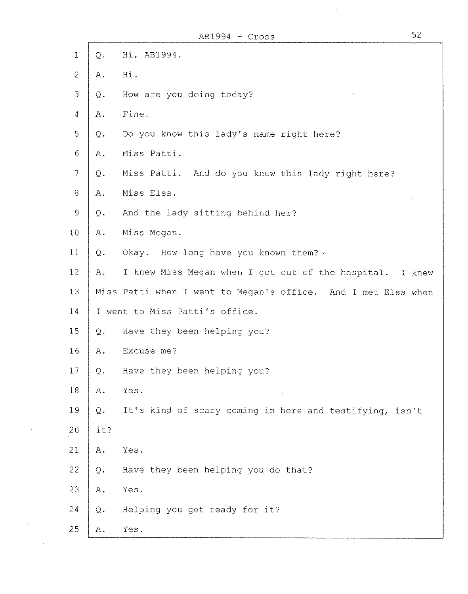|                |                | $AB1994 - Cross$                                              | 52 |
|----------------|----------------|---------------------------------------------------------------|----|
| $\mathbf 1$    | $Q$ .          | Hi, AB1994.                                                   |    |
| $\overline{2}$ | Α.             | Hi.                                                           |    |
| 3              | Q.             | How are you doing today?                                      |    |
| $\overline{4}$ | Α.             | Fine.                                                         |    |
| 5              | $\mathbb Q$ .  | Do you know this lady's name right here?                      |    |
| 6              | Α.             | Miss Patti.                                                   |    |
| $\overline{7}$ | $\mathsf{Q}$ . | Miss Patti. And do you know this lady right here?             |    |
| 8              | Α.             | Miss Elsa.                                                    |    |
| 9              | Q.             | And the lady sitting behind her?                              |    |
| 10             | Α.             | Miss Megan.                                                   |    |
| 11             | Q.             | Okay. How long have you known them? .                         |    |
| 12             | Α.             | I knew Miss Megan when I got out of the hospital. I knew      |    |
| 13             |                | Miss Patti when I went to Megan's office. And I met Elsa when |    |
| 14             |                | I went to Miss Patti's office.                                |    |
| 15             | Q.             | Have they been helping you?                                   |    |
| 16             | Α.             | Excuse me?                                                    |    |
| 17             | Q.             | Have they been helping you?                                   |    |
| $1\,8$         | Α.             | Yes.                                                          |    |
| 19             | Q.             | It's kind of scary coming in here and testifying, isn't       |    |
| 20             | it?            |                                                               |    |
| 21             | Α.             | Yes.                                                          |    |
| 22             | Q.             | Have they been helping you do that?                           |    |
| 23             | Α.             | Yes.                                                          |    |
| 24             | $\mathbf Q$ .  | Helping you get ready for it?                                 |    |
| 25             | Α.             | Yes.                                                          |    |

 $\sim 10^{-1}$ 

 $\sim 10^7$ 

 $\label{eq:2.1} \mathcal{L}=\mathcal{L}(\mathcal{L}^{(1)})\otimes\mathcal{L}^{(2)}(\mathcal{L}^{(2)})$ 

 $\label{eq:2.1} \frac{1}{\sqrt{2}}\int_{\mathbb{R}^3} \frac{1}{\sqrt{2}}\left(\frac{1}{\sqrt{2}}\right)^2\left(\frac{1}{\sqrt{2}}\right)^2\left(\frac{1}{\sqrt{2}}\right)^2\left(\frac{1}{\sqrt{2}}\right)^2\left(\frac{1}{\sqrt{2}}\right)^2\left(\frac{1}{\sqrt{2}}\right)^2.$ 

 $\mathcal{O}(\mathcal{O}(\log n))$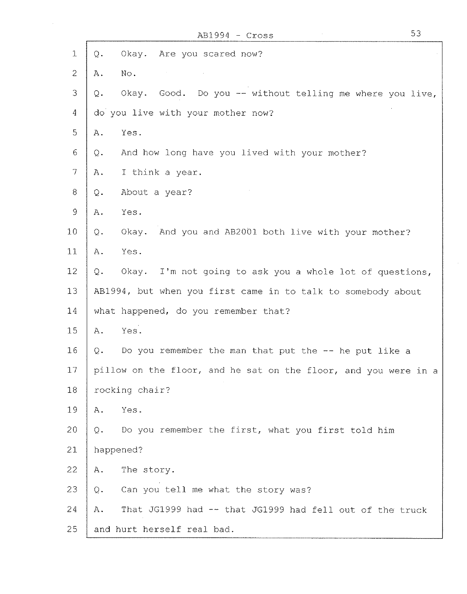|                |           | $AB1994 - Cross$                                                | 53 |
|----------------|-----------|-----------------------------------------------------------------|----|
| 1              | Q.        | Okay. Are you scared now?                                       |    |
| $\overline{2}$ | Α.        | No.                                                             |    |
| 3              | Q.        | Okay. Good. Do you -- without telling me where you live,        |    |
| 4              |           | do you live with your mother now?                               |    |
| 5              | Α.        | Yes.                                                            |    |
| 6              | Q.        | And how long have you lived with your mother?                   |    |
| $\overline{7}$ | Α.        | I think a year.                                                 |    |
| 8              | Q.        | About a year?                                                   |    |
| $\mathsf{Q}$   | Α.        | Yes.                                                            |    |
| 10             | Q.        | Okay. And you and AB2001 both live with your mother?            |    |
| 11             | А.        | Yes.                                                            |    |
| 12             | Q.        | Okay. I'm not going to ask you a whole lot of questions,        |    |
| 13             |           | AB1994, but when you first came in to talk to somebody about    |    |
| 14             |           | what happened, do you remember that?                            |    |
| 15             | Α.        | Yes.                                                            |    |
| 16             | Q.        | Do you remember the man that put the -- he put like a           |    |
| 17             |           | pillow on the floor, and he sat on the floor, and you were in a |    |
| 18             |           | rocking chair?                                                  |    |
| 19             | Α.        | Yes.                                                            |    |
| 20             | Q.        | Do you remember the first, what you first told him              |    |
| 21             | happened? |                                                                 |    |
| 22             | Α.        | The story.                                                      |    |
| 23             | $Q$ .     | Can you tell me what the story was?                             |    |
| 24             | Α.        | That JG1999 had -- that JG1999 had fell out of the truck        |    |
| 25             |           | and hurt herself real bad.                                      |    |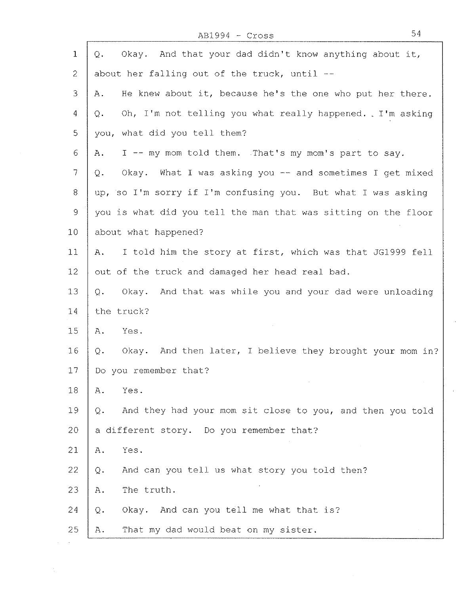AB1994 - Cross 54

 $\sim 10^6$ 

| $\mathbf 1$    | Okay. And that your dad didn't know anything about it,<br>Q.         |
|----------------|----------------------------------------------------------------------|
| $\overline{2}$ | about her falling out of the truck, until --                         |
| 3              | He knew about it, because he's the one who put her there.<br>Α.      |
| 4              | Oh, I'm not telling you what really happened. . I'm asking<br>Q.     |
| 5              | you, what did you tell them?                                         |
| 6              | I -- my mom told them. That's my mom's part to say.<br>$A$ .         |
| 7              | Okay. What I was asking you -- and sometimes I get mixed<br>Q.       |
| 8              | up, so I'm sorry if I'm confusing you. But what I was asking         |
| $\mathcal{G}$  | you is what did you tell the man that was sitting on the floor       |
| 10             | about what happened?                                                 |
| 11             | I told him the story at first, which was that JG1999 fell<br>Α.      |
| 12             | out of the truck and damaged her head real bad.                      |
| 13             | And that was while you and your dad were unloading<br>$Q$ .<br>Okay. |
| 14             | the truck?                                                           |
| 15             | Α.<br>Yes.                                                           |
| 16             | Okay. And then later, I believe they brought your mom in?<br>$Q -$   |
| 17             | Do you remember that?                                                |
| 18             | Yes.<br>Α.                                                           |
| 19             | And they had your mom sit close to you, and then you told<br>Q.      |
| 20             | a different story. Do you remember that?                             |
| 21             | Yes.<br>$A$ .                                                        |
| 22             | And can you tell us what story you told then?<br>Q.                  |
| 23             | The truth.<br>Α.                                                     |
| 24             | Okay. And can you tell me what that is?<br>$Q$ .                     |
| 25             | That my dad would beat on my sister.<br>Α.                           |

 $\mathcal{L}_{\mathcal{A}}$ 

 $\mathcal{L}^{\pm}$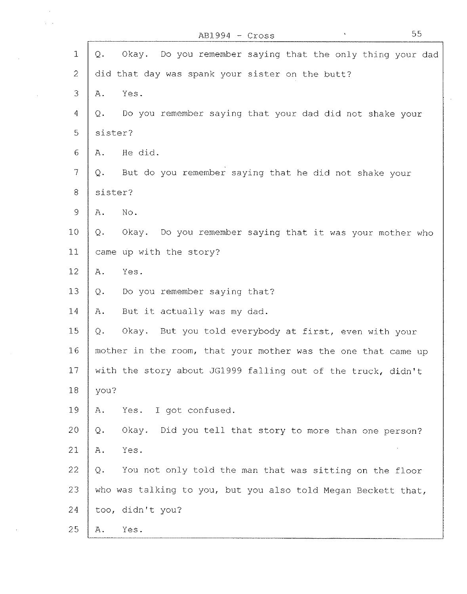|                | 55<br>$AB1994 - Cross$                                            |
|----------------|-------------------------------------------------------------------|
| $\mathbf{1}$   | Okay. Do you remember saying that the only thing your dad<br>Q.   |
| $\overline{2}$ | did that day was spank your sister on the butt?                   |
| 3              | Yes.<br>Α.                                                        |
| $\overline{4}$ | Do you remember saying that your dad did not shake your<br>Q.     |
| 5              | sister?                                                           |
| 6              | He did.<br>Α.                                                     |
| 7              | But do you remember saying that he did not shake your<br>Q.       |
| 8              | sister?                                                           |
| $\mathcal{G}$  | No.<br>Α.                                                         |
| 10             | Do you remember saying that it was your mother who<br>Okay.<br>Q. |
| 11             | came up with the story?                                           |
| 12             | Yes.<br>Α.                                                        |
| 13             | Do you remember saying that?<br>Q.                                |
| 14             | But it actually was my dad.<br>Α.                                 |
| 15             | Okay. But you told everybody at first, even with your<br>Q.       |
| 16             | mother in the room, that your mother was the one that came up     |
| 17             | with the story about JG1999 falling out of the truck, didn't      |
| 18             | you?                                                              |
| 19             | I got confused.<br>Yes.<br>Α.                                     |
| 20             | Okay.<br>Did you tell that story to more than one person?<br>Q.   |
| 21             | Yes.<br>Α.                                                        |
| 22             | You not only told the man that was sitting on the floor<br>Q.     |
| 23             | who was talking to you, but you also told Megan Beckett that,     |
| 24             | too, didn't you?                                                  |
| 25             | Yes.<br>Α.                                                        |

 $\sim$  $\Delta \sim 1$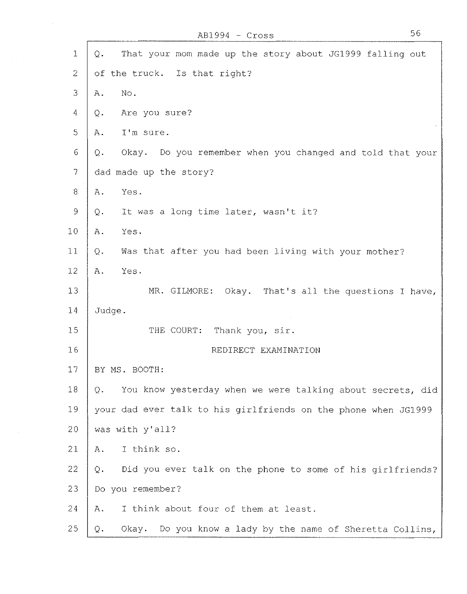$\mathcal{L}^{\mathcal{L}}$ 

| $\mathbf{1}$              | That your mom made up the story about JG1999 falling out<br>Q.   |
|---------------------------|------------------------------------------------------------------|
| $\overline{2}$            | of the truck. Is that right?                                     |
| 3                         | No.<br>Α.                                                        |
| $\overline{4}$            | Are you sure?<br>Q.                                              |
| 5                         | I'm sure.<br>Ά.                                                  |
| 6                         | Okay. Do you remember when you changed and told that your<br>Q.  |
| $\overline{\overline{7}}$ | dad made up the story?                                           |
| $\Theta$                  | Yes.<br>Α.                                                       |
| 9                         | It was a long time later, wasn't it?<br>Q.                       |
| 10                        | Yes.<br>Α.                                                       |
| 11                        | Was that after you had been living with your mother?<br>Q.       |
| 12                        | Yes.<br>Α.                                                       |
| 13                        | MR. GILMORE: Okay. That's all the questions I have,              |
| 14                        | Judge.                                                           |
| 15                        | THE COURT:<br>Thank you, sir.                                    |
| 16                        | REDIRECT EXAMINATION                                             |
| 17                        | BY MS. BOOTH:                                                    |
| 18                        | You know yesterday when we were talking about secrets, did<br>Q. |
| 19                        | your dad ever talk to his girlfriends on the phone when JG1999   |
| 20                        | was with y'all?                                                  |
| 21                        | I think so.<br>Α.                                                |
| 22                        | Did you ever talk on the phone to some of his girlfriends?<br>Q. |
| 23                        | Do you remember?                                                 |
| 24                        | I think about four of them at least.<br>Α.                       |
| 25                        | Okay. Do you know a lady by the name of Sheretta Collins,<br>Q.  |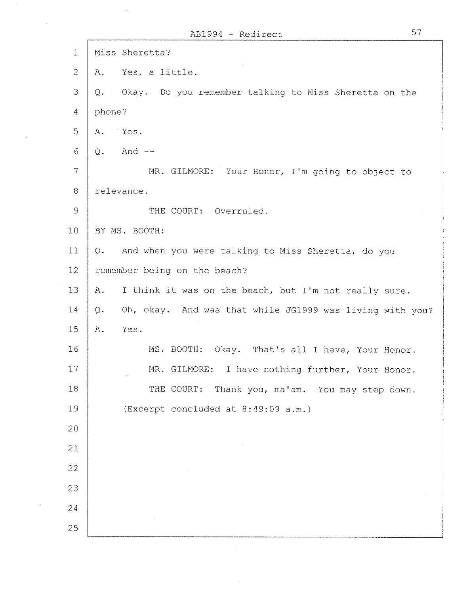|                          | 57<br>AB1994 - Redirect                                           |
|--------------------------|-------------------------------------------------------------------|
| $\mathbf 1$              | Miss Sheretta?                                                    |
| $\mathcal{Z}$            | Yes, a little.<br>Α.                                              |
| 3                        | Okay. Do you remember talking to Miss Sheretta on the<br>Q.       |
| $\overline{4}$           | phone?                                                            |
| 5                        | Yes.<br>Α.                                                        |
| 6                        | And $--$<br>Q.                                                    |
| $\overline{\mathcal{L}}$ | MR. GILMORE: Your Honor, I'm going to object to                   |
| 8                        | relevance.                                                        |
| 9                        | THE COURT: Overruled.                                             |
| 10                       | BY MS. BOOTH:                                                     |
| 11                       | And when you were talking to Miss Sheretta, do you<br>Q.          |
| 12 <sub>1</sub>          | remember being on the beach?                                      |
| 13                       | I think it was on the beach, but I'm not really sure.<br>Α.       |
| 14                       | Oh, okay. And was that while JG1999 was living with you?<br>$Q -$ |
| 15                       | Yes.<br>Α.                                                        |
| 16                       | MS. BOOTH:<br>Okay. That's all I have, Your Honor.                |
| 17                       | MR. GILMORE:<br>I have nothing further, Your Honor.               |
| 18                       | THE COURT:<br>Thank you, ma'am. You may step down.                |
| 19                       | (Excerpt concluded at 8:49:09 a.m.)                               |
| 20                       |                                                                   |
| 21                       |                                                                   |
| $22 \,$                  |                                                                   |
| 23                       |                                                                   |
| 24                       |                                                                   |
| 25                       |                                                                   |

 $\mathcal{A}_\mathrm{c}$ 

 $\mathcal{A}^{\mathcal{A}}$ 

 $\alpha$  ,  $\beta$  ,  $\beta$ 

 $\mathcal{L}_{\mathcal{A}}$